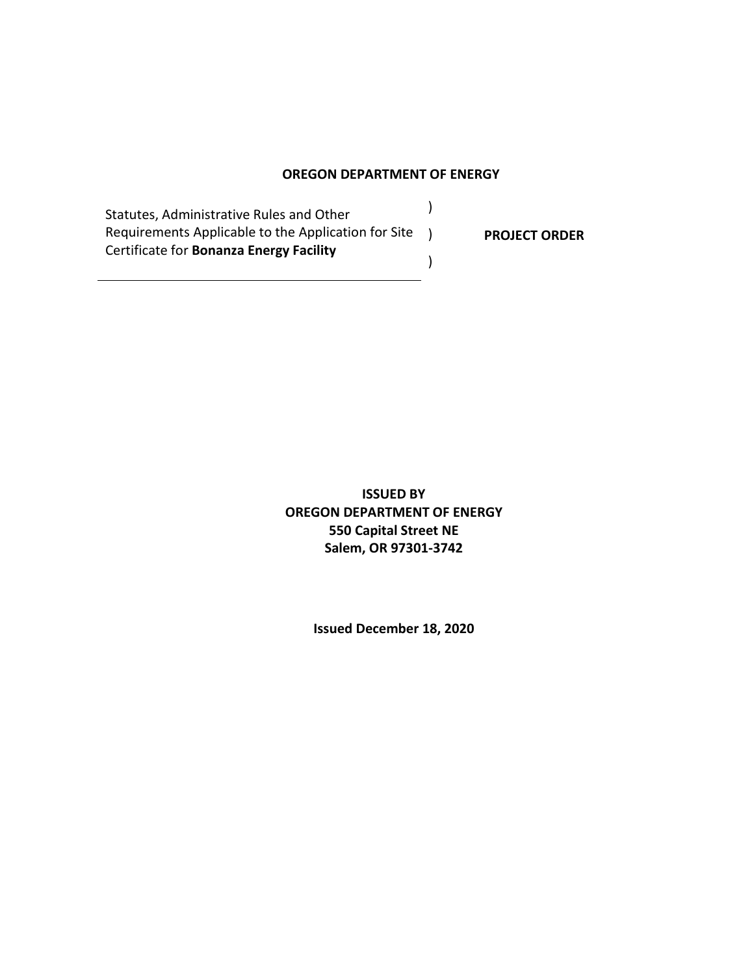#### **OREGON DEPARTMENT OF ENERGY**

)

)

Statutes, Administrative Rules and Other Requirements Applicable to the Application for Site ) Certificate for **Bonanza Energy Facility**

**PROJECT ORDER**

**ISSUED BY OREGON DEPARTMENT OF ENERGY 550 Capital Street NE Salem, OR 97301-3742**

**Issued December 18, 2020**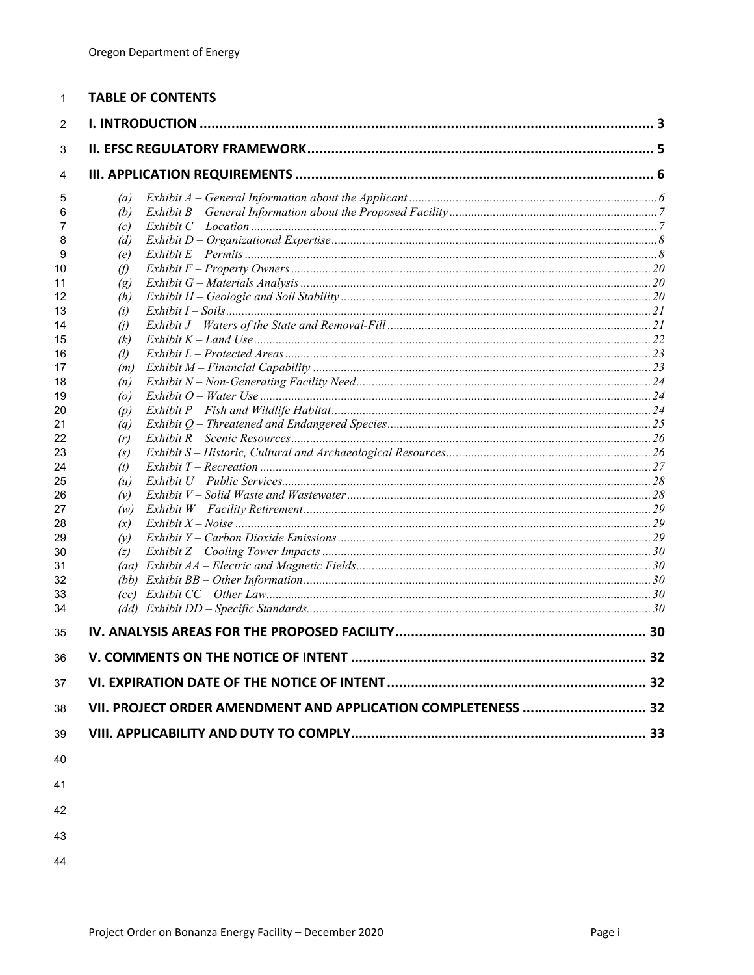| 1        | <b>TABLE OF CONTENTS</b>                                      |  |
|----------|---------------------------------------------------------------|--|
| 2        |                                                               |  |
| 3        |                                                               |  |
| 4        |                                                               |  |
| 5        | (a)                                                           |  |
| 6        | (b)                                                           |  |
| 7        | (c)                                                           |  |
| 8        | (d)                                                           |  |
| 9        | (e)                                                           |  |
| 10       | $\theta$                                                      |  |
| 11       | $\left(g\right)$                                              |  |
| 12       | (h)                                                           |  |
| 13       | (i)                                                           |  |
| 14       | (i)                                                           |  |
| 15       | (k)                                                           |  |
| 16       | (1)                                                           |  |
| 17<br>18 | (m)                                                           |  |
| 19       | (n)<br>$\left( o \right)$                                     |  |
| 20       | (p)                                                           |  |
| 21       | $\left( q\right)$                                             |  |
| 22       | (r)                                                           |  |
| 23       | (s)                                                           |  |
| 24       | (t)                                                           |  |
| 25       | (u)                                                           |  |
| 26       | (v)                                                           |  |
| 27       | (w)                                                           |  |
| 28       | (x)                                                           |  |
| 29       | (v)                                                           |  |
| 30       | (z)                                                           |  |
| 31       |                                                               |  |
| 32       |                                                               |  |
| 33       |                                                               |  |
| 34       |                                                               |  |
| 35       |                                                               |  |
| 36       |                                                               |  |
| 37       |                                                               |  |
| 38       | VII. PROJECT ORDER AMENDMENT AND APPLICATION COMPLETENESS  32 |  |
| 39       |                                                               |  |
| 40       |                                                               |  |
| 41       |                                                               |  |
| 42       |                                                               |  |
| 43       |                                                               |  |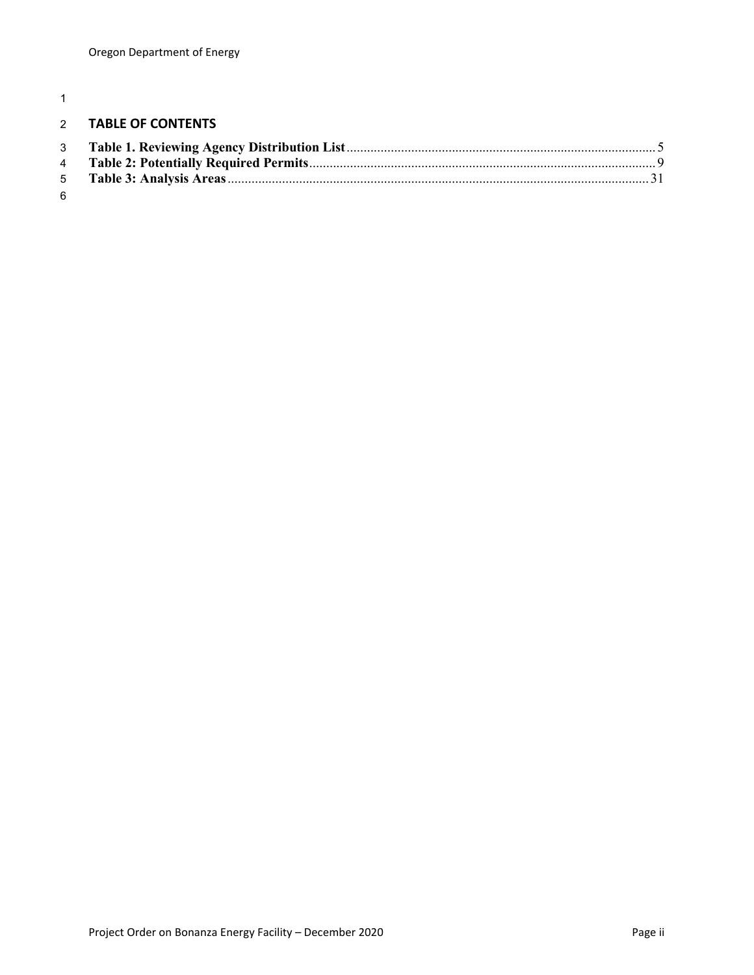# **TABLE OF CONTENTS**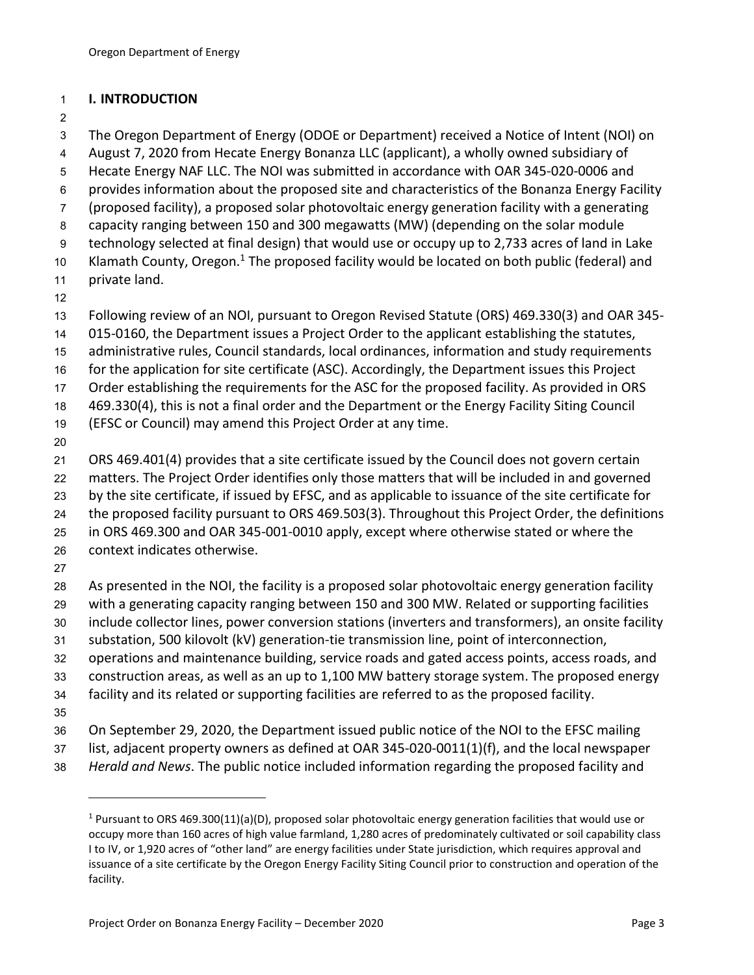# **I. INTRODUCTION**

The Oregon Department of Energy (ODOE or Department) received a Notice of Intent (NOI) on

August 7, 2020 from Hecate Energy Bonanza LLC (applicant), a wholly owned subsidiary of

- Hecate Energy NAF LLC. The NOI was submitted in accordance with OAR 345-020-0006 and
- provides information about the proposed site and characteristics of the Bonanza Energy Facility
- (proposed facility), a proposed solar photovoltaic energy generation facility with a generating
- capacity ranging between 150 and 300 megawatts (MW) (depending on the solar module

technology selected at final design) that would use or occupy up to 2,733 acres of land in Lake

10 Klamath County, Oregon.<sup>1</sup> The proposed facility would be located on both public (federal) and

- private land.
- 
- Following review of an NOI, pursuant to Oregon Revised Statute (ORS) 469.330(3) and OAR 345-
- 015-0160, the Department issues a Project Order to the applicant establishing the statutes,
- administrative rules, Council standards, local ordinances, information and study requirements
- for the application for site certificate (ASC). Accordingly, the Department issues this Project
- Order establishing the requirements for the ASC for the proposed facility. As provided in ORS

469.330(4), this is not a final order and the Department or the Energy Facility Siting Council

- (EFSC or Council) may amend this Project Order at any time.
- 

ORS 469.401(4) provides that a site certificate issued by the Council does not govern certain

matters. The Project Order identifies only those matters that will be included in and governed

by the site certificate, if issued by EFSC, and as applicable to issuance of the site certificate for

the proposed facility pursuant to ORS 469.503(3). Throughout this Project Order, the definitions

in ORS 469.300 and OAR 345-001-0010 apply, except where otherwise stated or where the

- context indicates otherwise.
- 

 As presented in the NOI, the facility is a proposed solar photovoltaic energy generation facility with a generating capacity ranging between 150 and 300 MW. Related or supporting facilities

- include collector lines, power conversion stations (inverters and transformers), an onsite facility
- substation, 500 kilovolt (kV) generation-tie transmission line, point of interconnection,
- operations and maintenance building, service roads and gated access points, access roads, and
- construction areas, as well as an up to 1,100 MW battery storage system. The proposed energy
- facility and its related or supporting facilities are referred to as the proposed facility.
- 

On September 29, 2020, the Department issued public notice of the NOI to the EFSC mailing

- list, adjacent property owners as defined at OAR 345-020-0011(1)(f), and the local newspaper
- *Herald and News*. The public notice included information regarding the proposed facility and

<sup>&</sup>lt;sup>1</sup> Pursuant to ORS 469.300(11)(a)(D), proposed solar photovoltaic energy generation facilities that would use or occupy more than 160 acres of high value farmland, 1,280 acres of predominately cultivated or soil capability class I to IV, or 1,920 acres of "other land" are energy facilities under State jurisdiction, which requires approval and issuance of a site certificate by the Oregon Energy Facility Siting Council prior to construction and operation of the facility.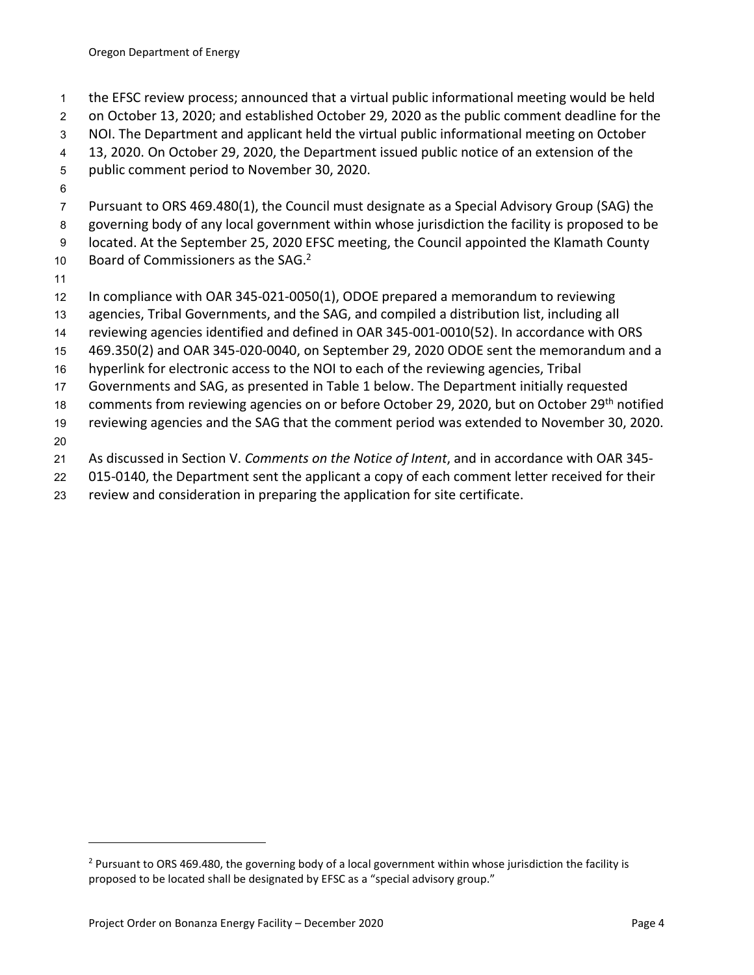- the EFSC review process; announced that a virtual public informational meeting would be held
- on October 13, 2020; and established October 29, 2020 as the public comment deadline for the
- NOI. The Department and applicant held the virtual public informational meeting on October
- 13, 2020. On October 29, 2020, the Department issued public notice of an extension of the
- public comment period to November 30, 2020.
- 
- Pursuant to ORS 469.480(1), the Council must designate as a Special Advisory Group (SAG) the
- governing body of any local government within whose jurisdiction the facility is proposed to be
- located. At the September 25, 2020 EFSC meeting, the Council appointed the Klamath County
- 10 Board of Commissioners as the SAG.
- 
- In compliance with OAR 345-021-0050(1), ODOE prepared a memorandum to reviewing
- agencies, Tribal Governments, and the SAG, and compiled a distribution list, including all
- reviewing agencies identified and defined in OAR 345-001-0010(52). In accordance with ORS
- 469.350(2) and OAR 345-020-0040, on September 29, 2020 ODOE sent the memorandum and a
- hyperlink for electronic access to the NOI to each of the reviewing agencies, Tribal
- Governments and SAG, as presented in Table 1 below. The Department initially requested
- 18 comments from reviewing agencies on or before October 29, 2020, but on October 29<sup>th</sup> notified
- reviewing agencies and the SAG that the comment period was extended to November 30, 2020.
- 
- As discussed in Section V. *Comments on the Notice of Intent*, and in accordance with OAR 345-
- 015-0140, the Department sent the applicant a copy of each comment letter received for their
- review and consideration in preparing the application for site certificate.

<sup>&</sup>lt;sup>2</sup> Pursuant to ORS 469.480, the governing body of a local government within whose jurisdiction the facility is proposed to be located shall be designated by EFSC as a "special advisory group."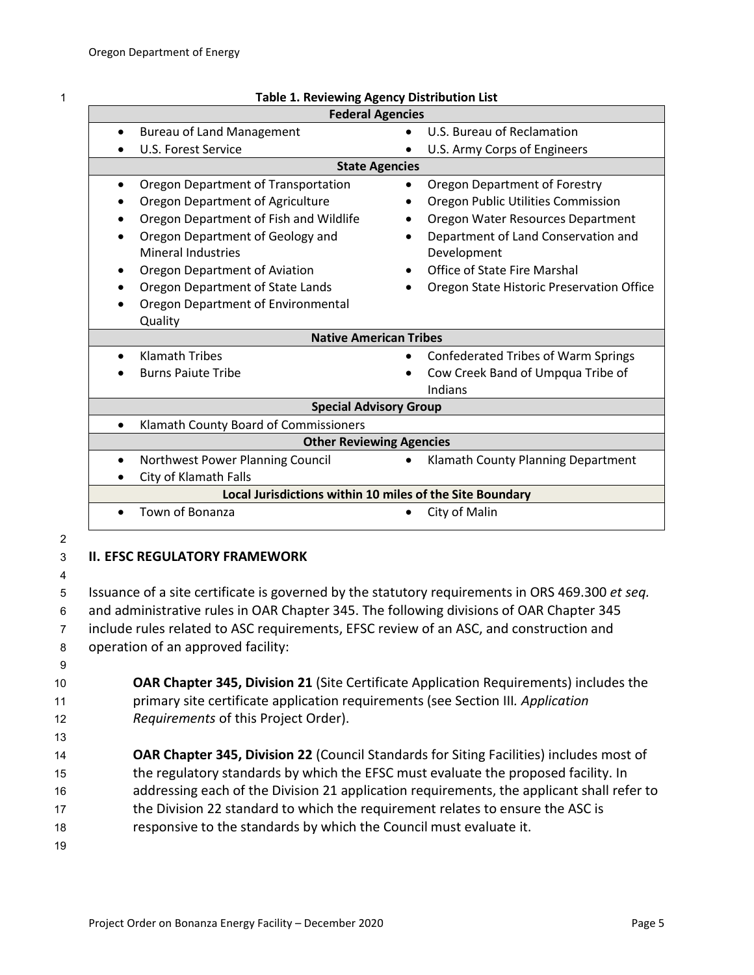| ٠<br>×. |
|---------|
|         |
|         |
|         |

| <b>Federal Agencies</b>                                  |                                                         |  |  |  |  |
|----------------------------------------------------------|---------------------------------------------------------|--|--|--|--|
| <b>Bureau of Land Management</b><br>$\bullet$            | U.S. Bureau of Reclamation                              |  |  |  |  |
| U.S. Forest Service                                      | U.S. Army Corps of Engineers                            |  |  |  |  |
| <b>State Agencies</b>                                    |                                                         |  |  |  |  |
| Oregon Department of Transportation                      | Oregon Department of Forestry                           |  |  |  |  |
| Oregon Department of Agriculture                         | Oregon Public Utilities Commission                      |  |  |  |  |
| Oregon Department of Fish and Wildlife                   | Oregon Water Resources Department                       |  |  |  |  |
| Oregon Department of Geology and                         | Department of Land Conservation and                     |  |  |  |  |
| <b>Mineral Industries</b>                                | Development                                             |  |  |  |  |
| Oregon Department of Aviation                            | <b>Office of State Fire Marshal</b>                     |  |  |  |  |
| Oregon Department of State Lands                         | Oregon State Historic Preservation Office               |  |  |  |  |
| Oregon Department of Environmental                       |                                                         |  |  |  |  |
| Quality                                                  |                                                         |  |  |  |  |
| <b>Native American Tribes</b>                            |                                                         |  |  |  |  |
| <b>Klamath Tribes</b>                                    | <b>Confederated Tribes of Warm Springs</b><br>$\bullet$ |  |  |  |  |
| <b>Burns Paiute Tribe</b>                                | Cow Creek Band of Umpqua Tribe of                       |  |  |  |  |
|                                                          | Indians                                                 |  |  |  |  |
| <b>Special Advisory Group</b>                            |                                                         |  |  |  |  |
| Klamath County Board of Commissioners<br>$\bullet$       |                                                         |  |  |  |  |
| <b>Other Reviewing Agencies</b>                          |                                                         |  |  |  |  |
| Northwest Power Planning Council                         | Klamath County Planning Department<br>$\bullet$         |  |  |  |  |
| City of Klamath Falls                                    |                                                         |  |  |  |  |
| Local Jurisdictions within 10 miles of the Site Boundary |                                                         |  |  |  |  |
| Town of Bonanza                                          | City of Malin                                           |  |  |  |  |

#### 1 **Table 1. Reviewing Agency Distribution List**

2

# 3 **II. EFSC REGULATORY FRAMEWORK**

4

 Issuance of a site certificate is governed by the statutory requirements in ORS 469.300 *et seq.* and administrative rules in OAR Chapter 345. The following divisions of OAR Chapter 345 include rules related to ASC requirements, EFSC review of an ASC, and construction and operation of an approved facility:

9

10 **OAR Chapter 345, Division 21** (Site Certificate Application Requirements) includes the 11 primary site certificate application requirements (see Section III*. Application*  12 *Requirements* of this Project Order).

 **OAR Chapter 345, Division 22** (Council Standards for Siting Facilities) includes most of the regulatory standards by which the EFSC must evaluate the proposed facility. In addressing each of the Division 21 application requirements, the applicant shall refer to the Division 22 standard to which the requirement relates to ensure the ASC is responsive to the standards by which the Council must evaluate it.

19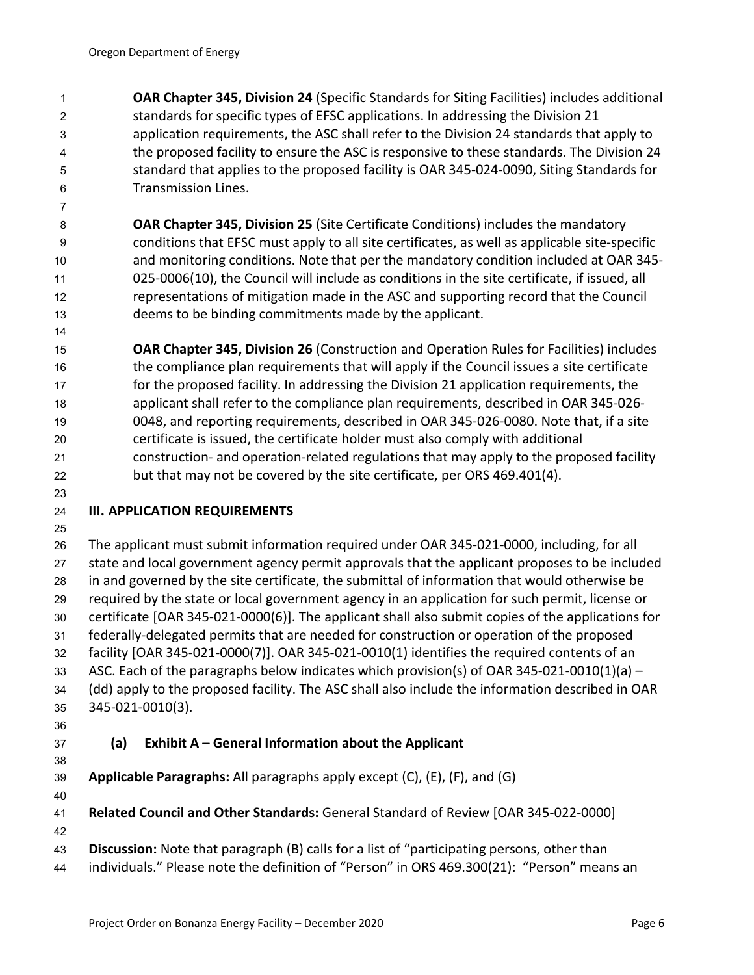**OAR Chapter 345, Division 24** (Specific Standards for Siting Facilities) includes additional standards for specific types of EFSC applications. In addressing the Division 21 application requirements, the ASC shall refer to the Division 24 standards that apply to the proposed facility to ensure the ASC is responsive to these standards. The Division 24 standard that applies to the proposed facility is OAR 345-024-0090, Siting Standards for Transmission Lines.

 **OAR Chapter 345, Division 25** (Site Certificate Conditions) includes the mandatory conditions that EFSC must apply to all site certificates, as well as applicable site-specific and monitoring conditions. Note that per the mandatory condition included at OAR 345- 025-0006(10), the Council will include as conditions in the site certificate, if issued, all representations of mitigation made in the ASC and supporting record that the Council deems to be binding commitments made by the applicant.

 **OAR Chapter 345, Division 26** (Construction and Operation Rules for Facilities) includes the compliance plan requirements that will apply if the Council issues a site certificate for the proposed facility. In addressing the Division 21 application requirements, the applicant shall refer to the compliance plan requirements, described in OAR 345-026- 0048, and reporting requirements, described in OAR 345-026-0080. Note that, if a site certificate is issued, the certificate holder must also comply with additional construction- and operation-related regulations that may apply to the proposed facility but that may not be covered by the site certificate, per ORS 469.401(4).

# **III. APPLICATION REQUIREMENTS**

 The applicant must submit information required under OAR 345-021-0000, including, for all state and local government agency permit approvals that the applicant proposes to be included in and governed by the site certificate, the submittal of information that would otherwise be required by the state or local government agency in an application for such permit, license or certificate [OAR 345-021-0000(6)]. The applicant shall also submit copies of the applications for federally-delegated permits that are needed for construction or operation of the proposed facility [OAR 345-021-0000(7)]. OAR 345-021-0010(1) identifies the required contents of an 33 ASC. Each of the paragraphs below indicates which provision(s) of OAR 345-021-0010(1)(a) – (dd) apply to the proposed facility. The ASC shall also include the information described in OAR 345-021-0010(3).

# **(a) Exhibit A – General Information about the Applicant**

**Applicable Paragraphs:** All paragraphs apply except (C), (E), (F), and (G)

**Related Council and Other Standards:** General Standard of Review [OAR 345-022-0000]

 **Discussion:** Note that paragraph (B) calls for a list of "participating persons, other than

individuals." Please note the definition of "Person" in ORS 469.300(21): "Person" means an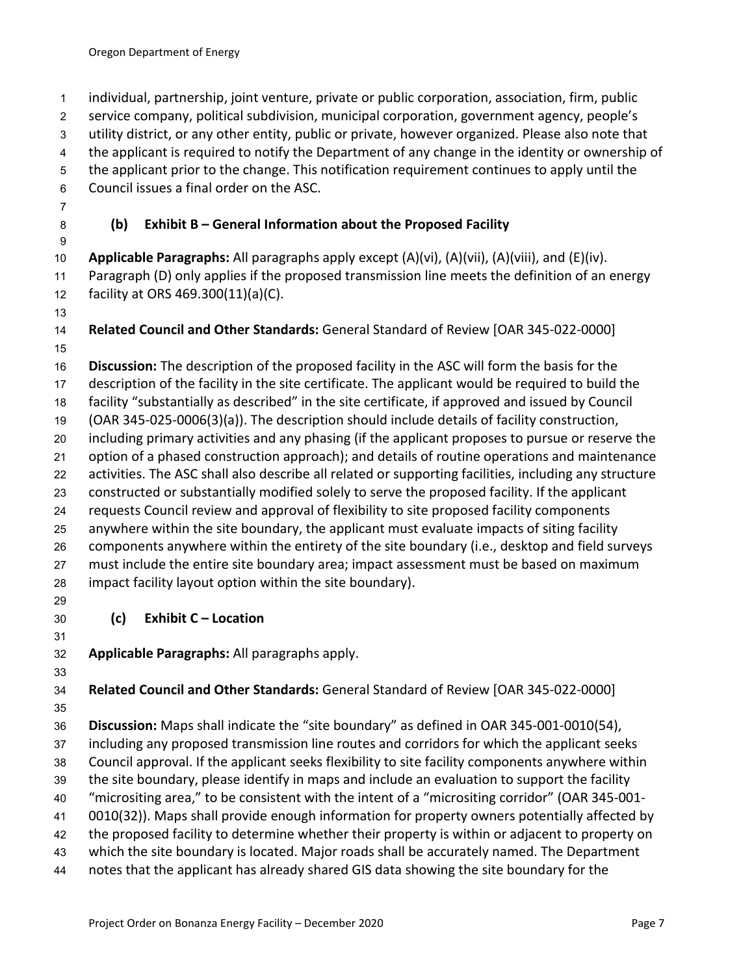individual, partnership, joint venture, private or public corporation, association, firm, public service company, political subdivision, municipal corporation, government agency, people's utility district, or any other entity, public or private, however organized. Please also note that the applicant is required to notify the Department of any change in the identity or ownership of the applicant prior to the change. This notification requirement continues to apply until the Council issues a final order on the ASC.

# **(b) Exhibit B – General Information about the Proposed Facility**

 **Applicable Paragraphs:** All paragraphs apply except (A)(vi), (A)(vii), (A)(viii), and (E)(iv). Paragraph (D) only applies if the proposed transmission line meets the definition of an energy facility at ORS 469.300(11)(a)(C).

 **Related Council and Other Standards:** General Standard of Review [OAR 345-022-0000] 

 **Discussion:** The description of the proposed facility in the ASC will form the basis for the description of the facility in the site certificate. The applicant would be required to build the facility "substantially as described" in the site certificate, if approved and issued by Council (OAR 345-025-0006(3)(a)). The description should include details of facility construction, including primary activities and any phasing (if the applicant proposes to pursue or reserve the option of a phased construction approach); and details of routine operations and maintenance activities. The ASC shall also describe all related or supporting facilities, including any structure constructed or substantially modified solely to serve the proposed facility. If the applicant requests Council review and approval of flexibility to site proposed facility components anywhere within the site boundary, the applicant must evaluate impacts of siting facility components anywhere within the entirety of the site boundary (i.e., desktop and field surveys must include the entire site boundary area; impact assessment must be based on maximum

- impact facility layout option within the site boundary).
- 

# **(c) Exhibit C – Location**

**Applicable Paragraphs:** All paragraphs apply.

**Related Council and Other Standards:** General Standard of Review [OAR 345-022-0000]

**Discussion:** Maps shall indicate the "site boundary" as defined in OAR 345-001-0010(54),

including any proposed transmission line routes and corridors for which the applicant seeks

Council approval. If the applicant seeks flexibility to site facility components anywhere within

the site boundary, please identify in maps and include an evaluation to support the facility

 "micrositing area," to be consistent with the intent of a "micrositing corridor" (OAR 345-001- 0010(32)). Maps shall provide enough information for property owners potentially affected by

the proposed facility to determine whether their property is within or adjacent to property on

which the site boundary is located. Major roads shall be accurately named. The Department

notes that the applicant has already shared GIS data showing the site boundary for the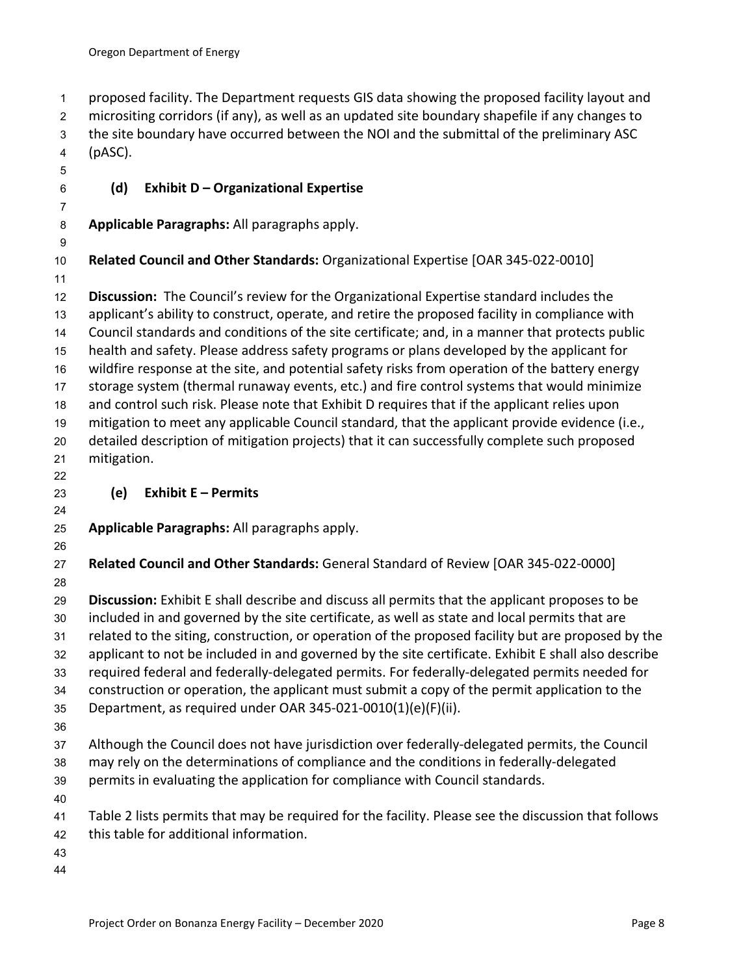proposed facility. The Department requests GIS data showing the proposed facility layout and micrositing corridors (if any), as well as an updated site boundary shapefile if any changes to the site boundary have occurred between the NOI and the submittal of the preliminary ASC (pASC).

# **(d) Exhibit D – Organizational Expertise**

**Applicable Paragraphs:** All paragraphs apply.

**Related Council and Other Standards:** Organizational Expertise [OAR 345-022-0010]

 **Discussion:** The Council's review for the Organizational Expertise standard includes the applicant's ability to construct, operate, and retire the proposed facility in compliance with Council standards and conditions of the site certificate; and, in a manner that protects public health and safety. Please address safety programs or plans developed by the applicant for wildfire response at the site, and potential safety risks from operation of the battery energy storage system (thermal runaway events, etc.) and fire control systems that would minimize and control such risk. Please note that Exhibit D requires that if the applicant relies upon mitigation to meet any applicable Council standard, that the applicant provide evidence (i.e., detailed description of mitigation projects) that it can successfully complete such proposed mitigation.

# **(e) Exhibit E – Permits**

**Applicable Paragraphs:** All paragraphs apply.

 **Related Council and Other Standards:** General Standard of Review [OAR 345-022-0000] 

 **Discussion:** Exhibit E shall describe and discuss all permits that the applicant proposes to be included in and governed by the site certificate, as well as state and local permits that are related to the siting, construction, or operation of the proposed facility but are proposed by the applicant to not be included in and governed by the site certificate. Exhibit E shall also describe required federal and federally-delegated permits. For federally-delegated permits needed for construction or operation, the applicant must submit a copy of the permit application to the Department, as required under OAR 345-021-0010(1)(e)(F)(ii). Although the Council does not have jurisdiction over federally-delegated permits, the Council

- may rely on the determinations of compliance and the conditions in federally-delegated permits in evaluating the application for compliance with Council standards.
- 
- Table 2 lists permits that may be required for the facility. Please see the discussion that follows this table for additional information.
- 
-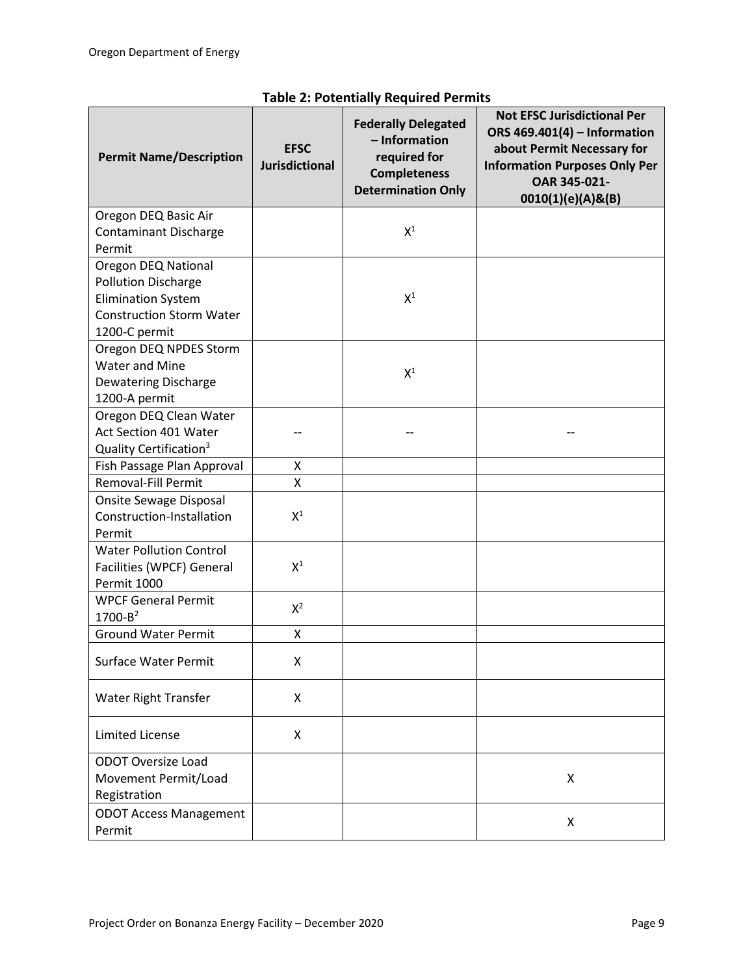| <b>Permit Name/Description</b>       | <b>EFSC</b><br><b>Jurisdictional</b> | <b>Federally Delegated</b><br>- Information<br>required for<br><b>Completeness</b><br><b>Determination Only</b> | <b>Not EFSC Jurisdictional Per</b><br>ORS 469.401(4) - Information<br>about Permit Necessary for<br><b>Information Purposes Only Per</b><br>OAR 345-021-<br>0010(1)(e)(A)&(B) |
|--------------------------------------|--------------------------------------|-----------------------------------------------------------------------------------------------------------------|-------------------------------------------------------------------------------------------------------------------------------------------------------------------------------|
| Oregon DEQ Basic Air                 |                                      |                                                                                                                 |                                                                                                                                                                               |
| <b>Contaminant Discharge</b>         |                                      | $X^1$                                                                                                           |                                                                                                                                                                               |
| Permit                               |                                      |                                                                                                                 |                                                                                                                                                                               |
| Oregon DEQ National                  |                                      |                                                                                                                 |                                                                                                                                                                               |
| <b>Pollution Discharge</b>           |                                      |                                                                                                                 |                                                                                                                                                                               |
| <b>Elimination System</b>            |                                      | $X^1$                                                                                                           |                                                                                                                                                                               |
| <b>Construction Storm Water</b>      |                                      |                                                                                                                 |                                                                                                                                                                               |
| 1200-C permit                        |                                      |                                                                                                                 |                                                                                                                                                                               |
| Oregon DEQ NPDES Storm               |                                      |                                                                                                                 |                                                                                                                                                                               |
| Water and Mine                       |                                      | $\mathsf{X}^1$                                                                                                  |                                                                                                                                                                               |
| Dewatering Discharge                 |                                      |                                                                                                                 |                                                                                                                                                                               |
| 1200-A permit                        |                                      |                                                                                                                 |                                                                                                                                                                               |
| Oregon DEQ Clean Water               |                                      |                                                                                                                 |                                                                                                                                                                               |
| Act Section 401 Water                |                                      |                                                                                                                 |                                                                                                                                                                               |
| Quality Certification <sup>3</sup>   |                                      |                                                                                                                 |                                                                                                                                                                               |
| Fish Passage Plan Approval           | Χ                                    |                                                                                                                 |                                                                                                                                                                               |
| Removal-Fill Permit                  | X                                    |                                                                                                                 |                                                                                                                                                                               |
| Onsite Sewage Disposal               |                                      |                                                                                                                 |                                                                                                                                                                               |
| Construction-Installation            | $X^1$                                |                                                                                                                 |                                                                                                                                                                               |
| Permit                               |                                      |                                                                                                                 |                                                                                                                                                                               |
| <b>Water Pollution Control</b>       |                                      |                                                                                                                 |                                                                                                                                                                               |
| Facilities (WPCF) General            | $X^1$                                |                                                                                                                 |                                                                                                                                                                               |
| Permit 1000                          |                                      |                                                                                                                 |                                                                                                                                                                               |
| <b>WPCF General Permit</b>           | $X^2$                                |                                                                                                                 |                                                                                                                                                                               |
| $1700 - B^2$                         |                                      |                                                                                                                 |                                                                                                                                                                               |
| <b>Ground Water Permit</b>           | X                                    |                                                                                                                 |                                                                                                                                                                               |
| Surface Water Permit                 | Χ                                    |                                                                                                                 |                                                                                                                                                                               |
| Water Right Transfer                 | X                                    |                                                                                                                 |                                                                                                                                                                               |
| <b>Limited License</b>               | X                                    |                                                                                                                 |                                                                                                                                                                               |
| <b>ODOT Oversize Load</b>            |                                      |                                                                                                                 |                                                                                                                                                                               |
| Movement Permit/Load<br>Registration |                                      |                                                                                                                 | X                                                                                                                                                                             |
| <b>ODOT Access Management</b>        |                                      |                                                                                                                 |                                                                                                                                                                               |
| Permit                               |                                      |                                                                                                                 | X                                                                                                                                                                             |

# **Table 2: Potentially Required Permits**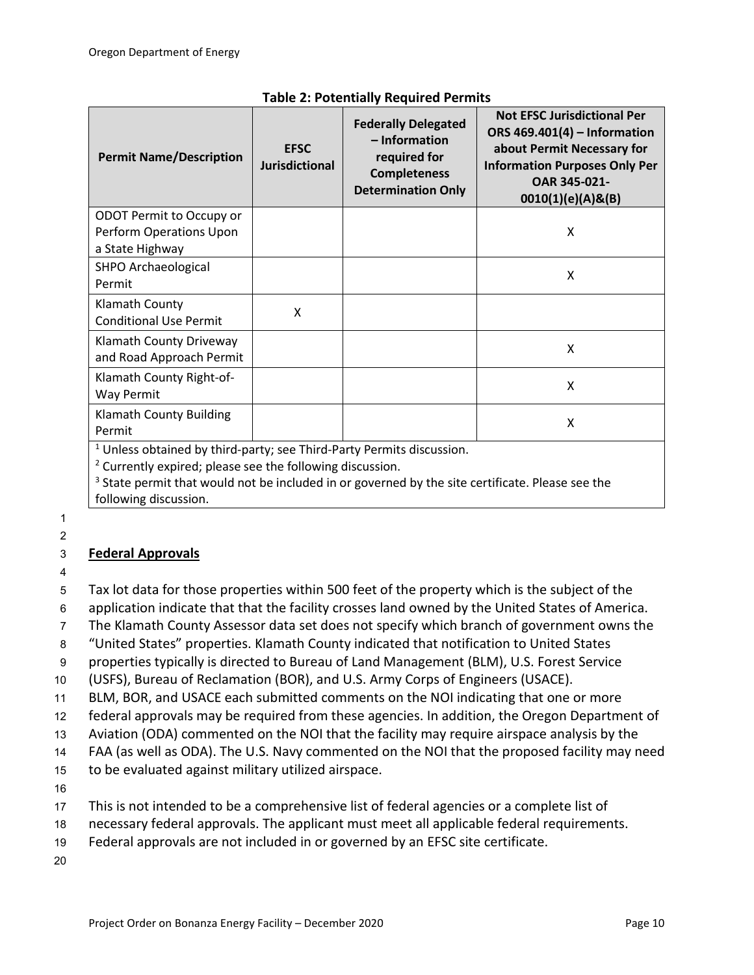| <b>Permit Name/Description</b>                                         | <b>EFSC</b><br><b>Jurisdictional</b> | <b>Federally Delegated</b><br>- Information<br>required for<br><b>Completeness</b><br><b>Determination Only</b> | <b>Not EFSC Jurisdictional Per</b><br>ORS 469.401(4) - Information<br>about Permit Necessary for<br><b>Information Purposes Only Per</b><br>OAR 345-021-<br>0010(1)(e)(A)&(B) |
|------------------------------------------------------------------------|--------------------------------------|-----------------------------------------------------------------------------------------------------------------|-------------------------------------------------------------------------------------------------------------------------------------------------------------------------------|
| ODOT Permit to Occupy or<br>Perform Operations Upon                    |                                      |                                                                                                                 | X                                                                                                                                                                             |
| a State Highway                                                        |                                      |                                                                                                                 |                                                                                                                                                                               |
| SHPO Archaeological<br>Permit                                          |                                      |                                                                                                                 | X                                                                                                                                                                             |
| Klamath County<br><b>Conditional Use Permit</b>                        | X                                    |                                                                                                                 |                                                                                                                                                                               |
| Klamath County Driveway<br>and Road Approach Permit                    |                                      |                                                                                                                 | X                                                                                                                                                                             |
| Klamath County Right-of-<br>Way Permit                                 |                                      |                                                                                                                 | X                                                                                                                                                                             |
| <b>Klamath County Building</b><br>Permit                               |                                      |                                                                                                                 | X                                                                                                                                                                             |
| $1$ Unless obtained by third-party: see Third-Party Permits discussion |                                      |                                                                                                                 |                                                                                                                                                                               |

# **Table 2: Potentially Required Permits**

<sup>1</sup> Unless obtained by third-party; see Third-Party Permits discussion.

<sup>2</sup> Currently expired; please see the following discussion.

<sup>3</sup> State permit that would not be included in or governed by the site certificate. Please see the following discussion.

1 2

# 3 **Federal Approvals**

4

5 Tax lot data for those properties within 500 feet of the property which is the subject of the

6 application indicate that that the facility crosses land owned by the United States of America.

7 The Klamath County Assessor data set does not specify which branch of government owns the

8 "United States" properties. Klamath County indicated that notification to United States

9 properties typically is directed to Bureau of Land Management (BLM), U.S. Forest Service

10 (USFS), Bureau of Reclamation (BOR), and U.S. Army Corps of Engineers (USACE).

11 BLM, BOR, and USACE each submitted comments on the NOI indicating that one or more

12 federal approvals may be required from these agencies. In addition, the Oregon Department of

13 Aviation (ODA) commented on the NOI that the facility may require airspace analysis by the

14 FAA (as well as ODA). The U.S. Navy commented on the NOI that the proposed facility may need

15 to be evaluated against military utilized airspace.

16

17 This is not intended to be a comprehensive list of federal agencies or a complete list of

18 necessary federal approvals. The applicant must meet all applicable federal requirements.

19 Federal approvals are not included in or governed by an EFSC site certificate.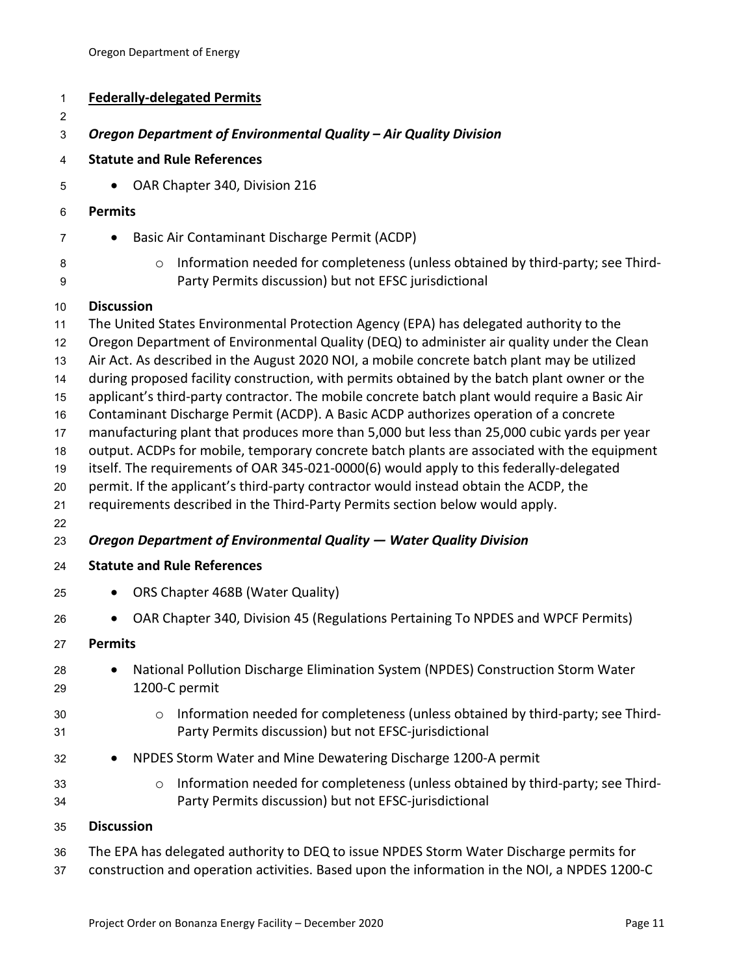| <b>Federally-delegated Permits</b>                                                                                                                                                                                                                                                                                                                                                                                                                                                                                                                                                                                                                                                                                                                                                                                                                                    |
|-----------------------------------------------------------------------------------------------------------------------------------------------------------------------------------------------------------------------------------------------------------------------------------------------------------------------------------------------------------------------------------------------------------------------------------------------------------------------------------------------------------------------------------------------------------------------------------------------------------------------------------------------------------------------------------------------------------------------------------------------------------------------------------------------------------------------------------------------------------------------|
| Oregon Department of Environmental Quality - Air Quality Division                                                                                                                                                                                                                                                                                                                                                                                                                                                                                                                                                                                                                                                                                                                                                                                                     |
| <b>Statute and Rule References</b>                                                                                                                                                                                                                                                                                                                                                                                                                                                                                                                                                                                                                                                                                                                                                                                                                                    |
| OAR Chapter 340, Division 216<br>$\bullet$                                                                                                                                                                                                                                                                                                                                                                                                                                                                                                                                                                                                                                                                                                                                                                                                                            |
| <b>Permits</b>                                                                                                                                                                                                                                                                                                                                                                                                                                                                                                                                                                                                                                                                                                                                                                                                                                                        |
| Basic Air Contaminant Discharge Permit (ACDP)<br>٠                                                                                                                                                                                                                                                                                                                                                                                                                                                                                                                                                                                                                                                                                                                                                                                                                    |
| Information needed for completeness (unless obtained by third-party; see Third-<br>$\circ$<br>Party Permits discussion) but not EFSC jurisdictional                                                                                                                                                                                                                                                                                                                                                                                                                                                                                                                                                                                                                                                                                                                   |
| <b>Discussion</b>                                                                                                                                                                                                                                                                                                                                                                                                                                                                                                                                                                                                                                                                                                                                                                                                                                                     |
| The United States Environmental Protection Agency (EPA) has delegated authority to the<br>Oregon Department of Environmental Quality (DEQ) to administer air quality under the Clean<br>Air Act. As described in the August 2020 NOI, a mobile concrete batch plant may be utilized<br>during proposed facility construction, with permits obtained by the batch plant owner or the<br>applicant's third-party contractor. The mobile concrete batch plant would require a Basic Air<br>Contaminant Discharge Permit (ACDP). A Basic ACDP authorizes operation of a concrete<br>manufacturing plant that produces more than 5,000 but less than 25,000 cubic yards per year<br>output. ACDPs for mobile, temporary concrete batch plants are associated with the equipment<br>itself. The requirements of OAR 345-021-0000(6) would apply to this federally-delegated |
| permit. If the applicant's third-party contractor would instead obtain the ACDP, the<br>requirements described in the Third-Party Permits section below would apply.<br>Oregon Department of Environmental Quality - Water Quality Division                                                                                                                                                                                                                                                                                                                                                                                                                                                                                                                                                                                                                           |
| <b>Statute and Rule References</b>                                                                                                                                                                                                                                                                                                                                                                                                                                                                                                                                                                                                                                                                                                                                                                                                                                    |
| ORS Chapter 468B (Water Quality)                                                                                                                                                                                                                                                                                                                                                                                                                                                                                                                                                                                                                                                                                                                                                                                                                                      |
| OAR Chapter 340, Division 45 (Regulations Pertaining To NPDES and WPCF Permits)                                                                                                                                                                                                                                                                                                                                                                                                                                                                                                                                                                                                                                                                                                                                                                                       |
| <b>Permits</b>                                                                                                                                                                                                                                                                                                                                                                                                                                                                                                                                                                                                                                                                                                                                                                                                                                                        |
| National Pollution Discharge Elimination System (NPDES) Construction Storm Water<br>1200-C permit                                                                                                                                                                                                                                                                                                                                                                                                                                                                                                                                                                                                                                                                                                                                                                     |
| Information needed for completeness (unless obtained by third-party; see Third-<br>$\circ$<br>Party Permits discussion) but not EFSC-jurisdictional                                                                                                                                                                                                                                                                                                                                                                                                                                                                                                                                                                                                                                                                                                                   |
| NPDES Storm Water and Mine Dewatering Discharge 1200-A permit                                                                                                                                                                                                                                                                                                                                                                                                                                                                                                                                                                                                                                                                                                                                                                                                         |
| Information needed for completeness (unless obtained by third-party; see Third-<br>$\circ$<br>Party Permits discussion) but not EFSC-jurisdictional                                                                                                                                                                                                                                                                                                                                                                                                                                                                                                                                                                                                                                                                                                                   |
| <b>Discussion</b>                                                                                                                                                                                                                                                                                                                                                                                                                                                                                                                                                                                                                                                                                                                                                                                                                                                     |
| The EPA has delegated authority to DEQ to issue NPDES Storm Water Discharge permits for                                                                                                                                                                                                                                                                                                                                                                                                                                                                                                                                                                                                                                                                                                                                                                               |

construction and operation activities. Based upon the information in the NOI, a NPDES 1200-C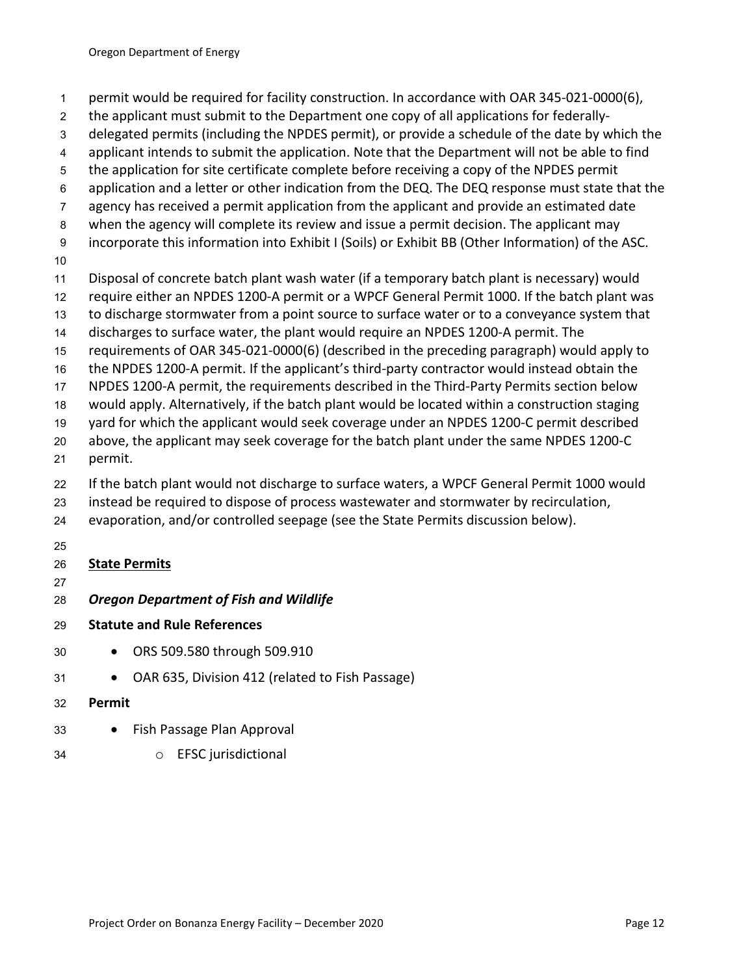- permit would be required for facility construction. In accordance with OAR 345-021-0000(6),
- the applicant must submit to the Department one copy of all applications for federally-
- delegated permits (including the NPDES permit), or provide a schedule of the date by which the
- applicant intends to submit the application. Note that the Department will not be able to find
- the application for site certificate complete before receiving a copy of the NPDES permit
- application and a letter or other indication from the DEQ. The DEQ response must state that the
- agency has received a permit application from the applicant and provide an estimated date
- when the agency will complete its review and issue a permit decision. The applicant may
- incorporate this information into Exhibit I (Soils) or Exhibit BB (Other Information) of the ASC.
- 
- Disposal of concrete batch plant wash water (if a temporary batch plant is necessary) would
- require either an NPDES 1200-A permit or a WPCF General Permit 1000. If the batch plant was
- to discharge stormwater from a point source to surface water or to a conveyance system that
- discharges to surface water, the plant would require an NPDES 1200-A permit. The
- requirements of OAR 345-021-0000(6) (described in the preceding paragraph) would apply to
- the NPDES 1200-A permit. If the applicant's third-party contractor would instead obtain the
- NPDES 1200-A permit, the requirements described in the Third-Party Permits section below
- would apply. Alternatively, if the batch plant would be located within a construction staging
- yard for which the applicant would seek coverage under an NPDES 1200-C permit described
- above, the applicant may seek coverage for the batch plant under the same NPDES 1200-C
- permit.
- If the batch plant would not discharge to surface waters, a WPCF General Permit 1000 would
- instead be required to dispose of process wastewater and stormwater by recirculation,
- evaporation, and/or controlled seepage (see the State Permits discussion below).
- 

# **State Permits**

- 
- *Oregon Department of Fish and Wildlife*
- **Statute and Rule References**
- ORS 509.580 through 509.910
- OAR 635, Division 412 (related to Fish Passage)
- **Permit**
- Fish Passage Plan Approval
- o EFSC jurisdictional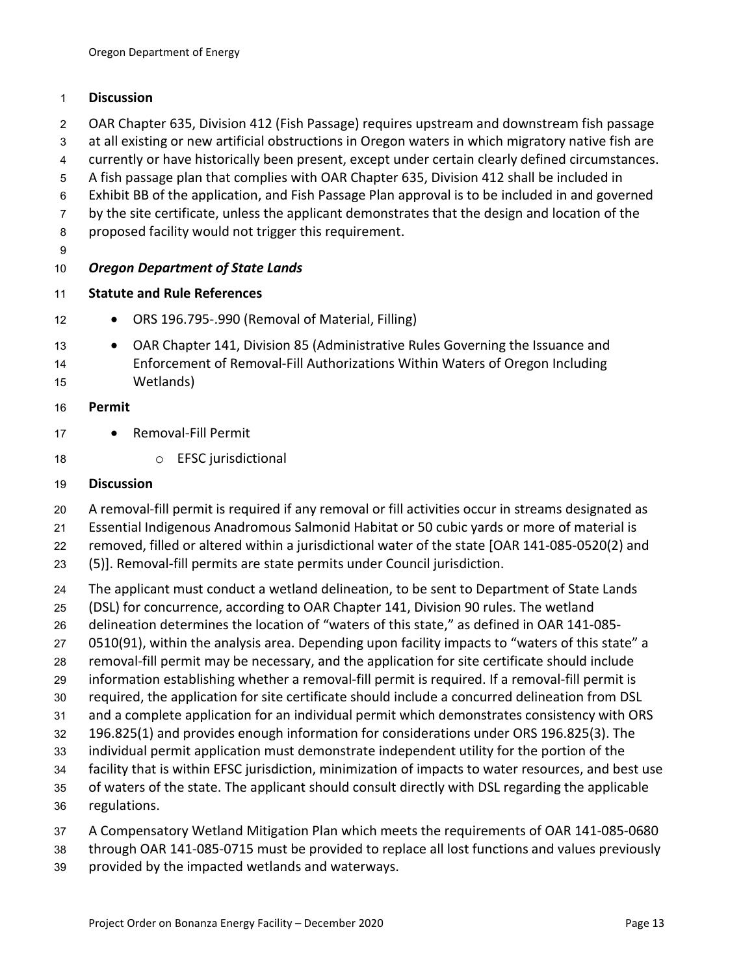## **Discussion**

- OAR Chapter 635, Division 412 (Fish Passage) requires upstream and downstream fish passage
- at all existing or new artificial obstructions in Oregon waters in which migratory native fish are
- currently or have historically been present, except under certain clearly defined circumstances.
- A fish passage plan that complies with OAR Chapter 635, Division 412 shall be included in
- Exhibit BB of the application, and Fish Passage Plan approval is to be included in and governed
- 7 by the site certificate, unless the applicant demonstrates that the design and location of the
- proposed facility would not trigger this requirement.
- 

# *Oregon Department of State Lands*

- **Statute and Rule References**
- **•** ORS 196.795-.990 (Removal of Material, Filling)
- 13 OAR Chapter 141, Division 85 (Administrative Rules Governing the Issuance and Enforcement of Removal-Fill Authorizations Within Waters of Oregon Including Wetlands)
- **Permit**
- 17 · Removal-Fill Permit
- 18 o EFSC jurisdictional

# **Discussion**

- A removal-fill permit is required if any removal or fill activities occur in streams designated as
- Essential Indigenous Anadromous Salmonid Habitat or 50 cubic yards or more of material is
- removed, filled or altered within a jurisdictional water of the state [OAR 141-085-0520(2) and
- (5)]. Removal-fill permits are state permits under Council jurisdiction.
- The applicant must conduct a wetland delineation, to be sent to Department of State Lands
- (DSL) for concurrence, according to OAR Chapter 141, Division 90 rules. The wetland
- delineation determines the location of "waters of this state," as defined in OAR 141-085-
- 0510(91), within the analysis area. Depending upon facility impacts to "waters of this state" a
- removal-fill permit may be necessary, and the application for site certificate should include
- information establishing whether a removal-fill permit is required. If a removal-fill permit is
- required, the application for site certificate should include a concurred delineation from DSL
- and a complete application for an individual permit which demonstrates consistency with ORS
- 196.825(1) and provides enough information for considerations under ORS 196.825(3). The
- individual permit application must demonstrate independent utility for the portion of the
- facility that is within EFSC jurisdiction, minimization of impacts to water resources, and best use
- of waters of the state. The applicant should consult directly with DSL regarding the applicable regulations.
- A Compensatory Wetland Mitigation Plan which meets the requirements of OAR 141-085-0680
- through OAR 141-085-0715 must be provided to replace all lost functions and values previously
- provided by the impacted wetlands and waterways.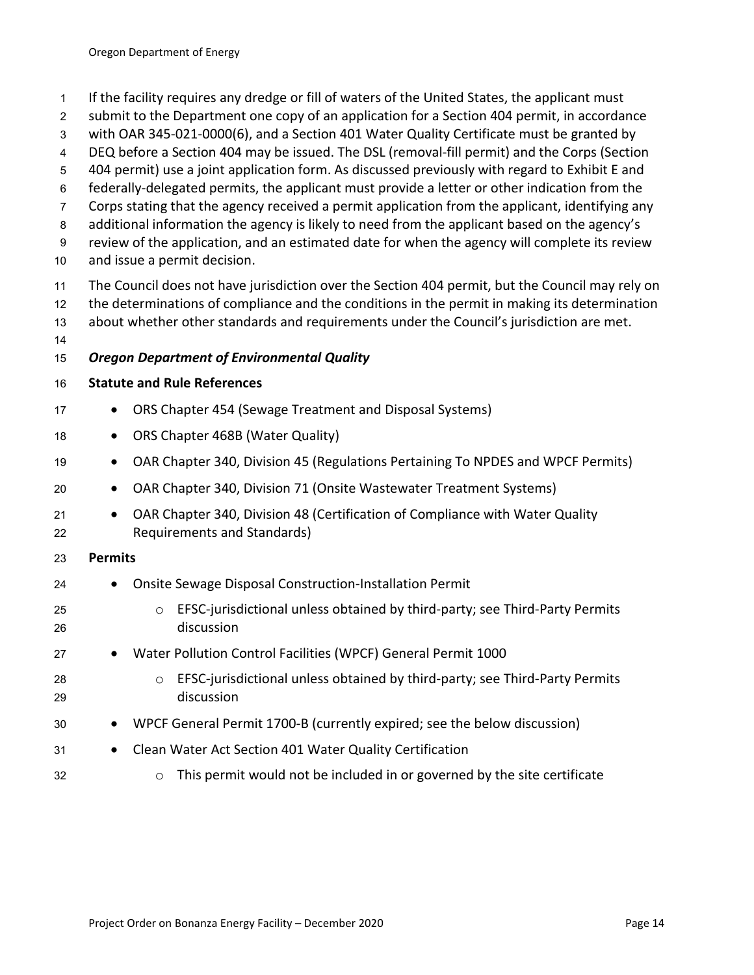- If the facility requires any dredge or fill of waters of the United States, the applicant must
- submit to the Department one copy of an application for a Section 404 permit, in accordance
- with OAR 345-021-0000(6), and a Section 401 Water Quality Certificate must be granted by
- DEQ before a Section 404 may be issued. The DSL (removal-fill permit) and the Corps (Section
- 404 permit) use a joint application form. As discussed previously with regard to Exhibit E and
- federally-delegated permits, the applicant must provide a letter or other indication from the
- Corps stating that the agency received a permit application from the applicant, identifying any
- additional information the agency is likely to need from the applicant based on the agency's
- review of the application, and an estimated date for when the agency will complete its review and issue a permit decision.
- The Council does not have jurisdiction over the Section 404 permit, but the Council may rely on the determinations of compliance and the conditions in the permit in making its determination
- about whether other standards and requirements under the Council's jurisdiction are met.
- 

# *Oregon Department of Environmental Quality*

## **Statute and Rule References**

- 17 ORS Chapter 454 (Sewage Treatment and Disposal Systems)
- **•** ORS Chapter 468B (Water Quality)
- OAR Chapter 340, Division 45 (Regulations Pertaining To NPDES and WPCF Permits)
- OAR Chapter 340, Division 71 (Onsite Wastewater Treatment Systems)
- 21 OAR Chapter 340, Division 48 (Certification of Compliance with Water Quality Requirements and Standards)
- **Permits**
- Onsite Sewage Disposal Construction-Installation Permit
- o EFSC-jurisdictional unless obtained by third-party; see Third-Party Permits discussion
- 27 Water Pollution Control Facilities (WPCF) General Permit 1000
- o EFSC-jurisdictional unless obtained by third-party; see Third-Party Permits discussion
- WPCF General Permit 1700-B (currently expired; see the below discussion)
- Clean Water Act Section 401 Water Quality Certification
- $\circ$  This permit would not be included in or governed by the site certificate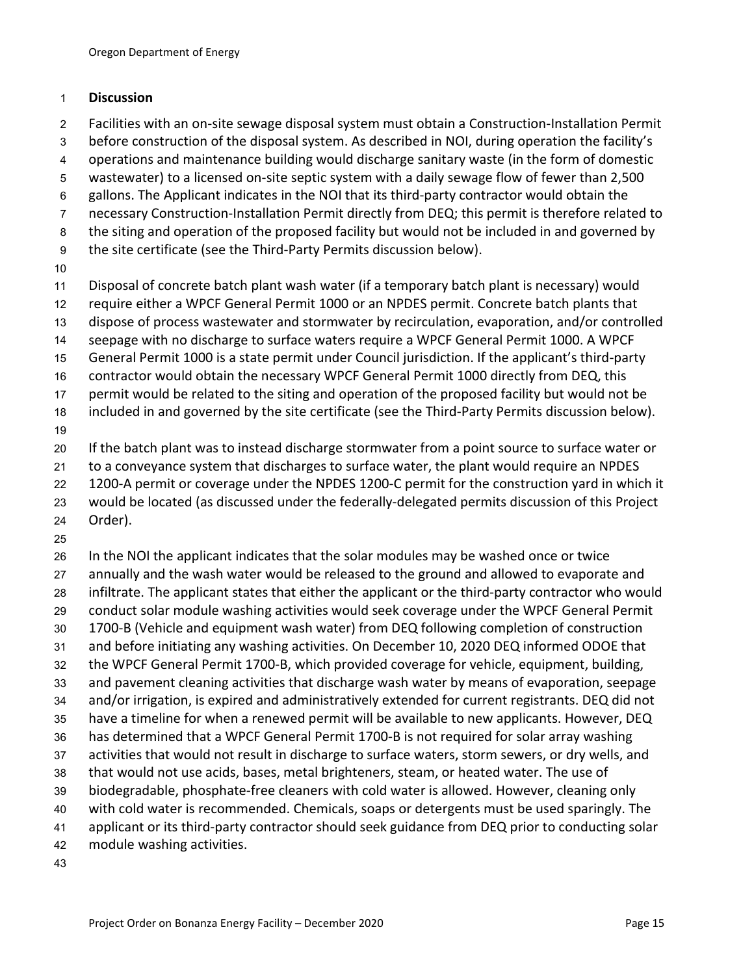#### **Discussion**

- Facilities with an on-site sewage disposal system must obtain a Construction-Installation Permit
- before construction of the disposal system. As described in NOI, during operation the facility's
- operations and maintenance building would discharge sanitary waste (in the form of domestic
- wastewater) to a licensed on-site septic system with a daily sewage flow of fewer than 2,500
- gallons. The Applicant indicates in the NOI that its third-party contractor would obtain the
- necessary Construction-Installation Permit directly from DEQ; this permit is therefore related to
- the siting and operation of the proposed facility but would not be included in and governed by
- the site certificate (see the Third-Party Permits discussion below).
- 
- Disposal of concrete batch plant wash water (if a temporary batch plant is necessary) would
- require either a WPCF General Permit 1000 or an NPDES permit. Concrete batch plants that
- dispose of process wastewater and stormwater by recirculation, evaporation, and/or controlled
- seepage with no discharge to surface waters require a WPCF General Permit 1000. A WPCF
- General Permit 1000 is a state permit under Council jurisdiction. If the applicant's third-party
- contractor would obtain the necessary WPCF General Permit 1000 directly from DEQ, this
- permit would be related to the siting and operation of the proposed facility but would not be
- included in and governed by the site certificate (see the Third-Party Permits discussion below).
- If the batch plant was to instead discharge stormwater from a point source to surface water or
- to a conveyance system that discharges to surface water, the plant would require an NPDES
- 22 1200-A permit or coverage under the NPDES 1200-C permit for the construction yard in which it
- would be located (as discussed under the federally-delegated permits discussion of this Project
- Order).
- 

 In the NOI the applicant indicates that the solar modules may be washed once or twice annually and the wash water would be released to the ground and allowed to evaporate and infiltrate. The applicant states that either the applicant or the third-party contractor who would conduct solar module washing activities would seek coverage under the WPCF General Permit 1700-B (Vehicle and equipment wash water) from DEQ following completion of construction and before initiating any washing activities. On December 10, 2020 DEQ informed ODOE that the WPCF General Permit 1700-B, which provided coverage for vehicle, equipment, building, and pavement cleaning activities that discharge wash water by means of evaporation, seepage and/or irrigation, is expired and administratively extended for current registrants. DEQ did not have a timeline for when a renewed permit will be available to new applicants. However, DEQ has determined that a WPCF General Permit 1700-B is not required for solar array washing activities that would not result in discharge to surface waters, storm sewers, or dry wells, and that would not use acids, bases, metal brighteners, steam, or heated water. The use of biodegradable, phosphate-free cleaners with cold water is allowed. However, cleaning only with cold water is recommended. Chemicals, soaps or detergents must be used sparingly. The applicant or its third-party contractor should seek guidance from DEQ prior to conducting solar module washing activities.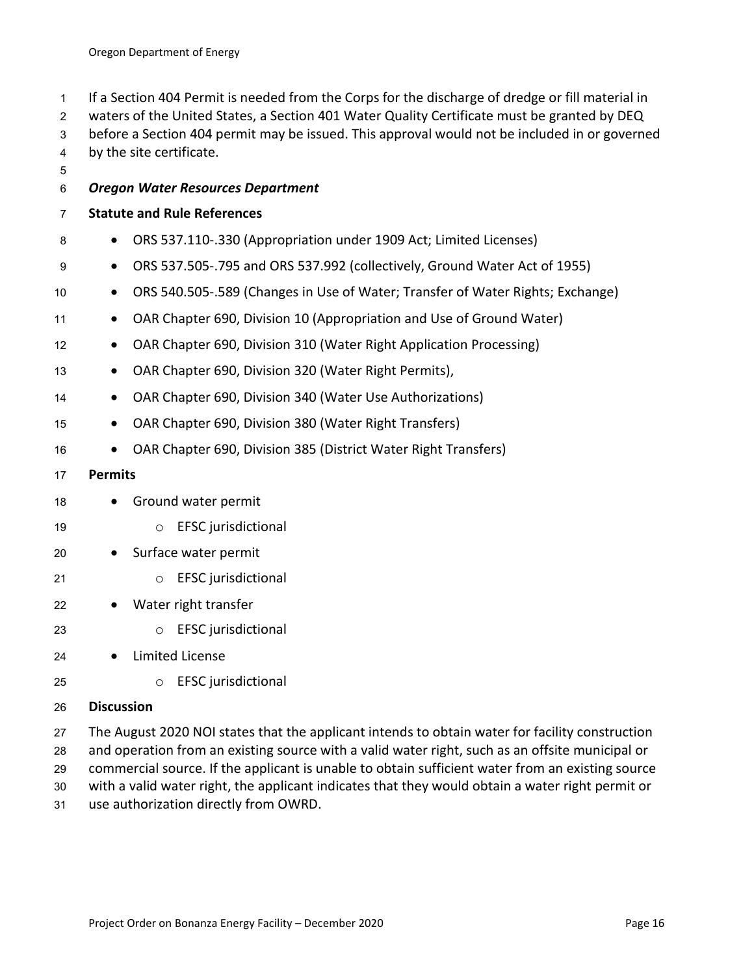If a Section 404 Permit is needed from the Corps for the discharge of dredge or fill material in

waters of the United States, a Section 401 Water Quality Certificate must be granted by DEQ

- before a Section 404 permit may be issued. This approval would not be included in or governed
- by the site certificate.

## *Oregon Water Resources Department*

#### **Statute and Rule References**

- **•** ORS 537.110-.330 (Appropriation under 1909 Act; Limited Licenses)
- ORS 537.505-.795 and ORS 537.992 (collectively, Ground Water Act of 1955)
- ORS 540.505-.589 (Changes in Use of Water; Transfer of Water Rights; Exchange)
- 11 OAR Chapter 690, Division 10 (Appropriation and Use of Ground Water)
- **•** OAR Chapter 690, Division 310 (Water Right Application Processing)
- 13 OAR Chapter 690, Division 320 (Water Right Permits),
- OAR Chapter 690, Division 340 (Water Use Authorizations)
- OAR Chapter 690, Division 380 (Water Right Transfers)
- OAR Chapter 690, Division 385 (District Water Right Transfers)

#### **Permits**

- 18 Ground water permit
- o EFSC jurisdictional
- 20 Surface water permit
- o EFSC jurisdictional
- 22 Water right transfer
- o EFSC jurisdictional
- Limited License
- o EFSC jurisdictional

## **Discussion**

- The August 2020 NOI states that the applicant intends to obtain water for facility construction and operation from an existing source with a valid water right, such as an offsite municipal or
- commercial source. If the applicant is unable to obtain sufficient water from an existing source
- with a valid water right, the applicant indicates that they would obtain a water right permit or
- use authorization directly from OWRD.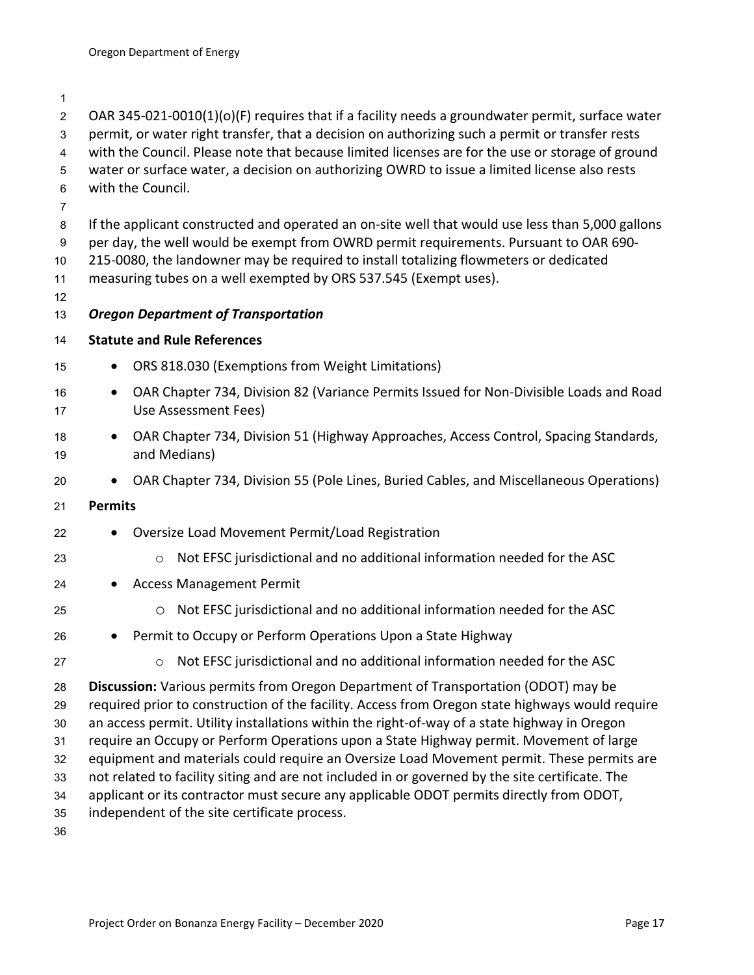OAR 345-021-0010(1)(o)(F) requires that if a facility needs a groundwater permit, surface water permit, or water right transfer, that a decision on authorizing such a permit or transfer rests with the Council. Please note that because limited licenses are for the use or storage of ground water or surface water, a decision on authorizing OWRD to issue a limited license also rests with the Council. If the applicant constructed and operated an on-site well that would use less than 5,000 gallons per day, the well would be exempt from OWRD permit requirements. Pursuant to OAR 690- 215-0080, the landowner may be required to install totalizing flowmeters or dedicated measuring tubes on a well exempted by ORS 537.545 (Exempt uses). *Oregon Department of Transportation* **Statute and Rule References •** ORS 818.030 (Exemptions from Weight Limitations) **••** OAR Chapter 734, Division 82 (Variance Permits Issued for Non-Divisible Loads and Road Use Assessment Fees) **• OAR Chapter 734, Division 51 (Highway Approaches, Access Control, Spacing Standards,**  and Medians) 20 • OAR Chapter 734, Division 55 (Pole Lines, Buried Cables, and Miscellaneous Operations) **Permits •** Oversize Load Movement Permit/Load Registration o Not EFSC jurisdictional and no additional information needed for the ASC 24 • Access Management Permit o Not EFSC jurisdictional and no additional information needed for the ASC Permit to Occupy or Perform Operations Upon a State Highway 27 o Not EFSC jurisdictional and no additional information needed for the ASC **Discussion:** Various permits from Oregon Department of Transportation (ODOT) may be required prior to construction of the facility. Access from Oregon state highways would require an access permit. Utility installations within the right-of-way of a state highway in Oregon require an Occupy or Perform Operations upon a State Highway permit. Movement of large equipment and materials could require an Oversize Load Movement permit. These permits are not related to facility siting and are not included in or governed by the site certificate. The applicant or its contractor must secure any applicable ODOT permits directly from ODOT, independent of the site certificate process.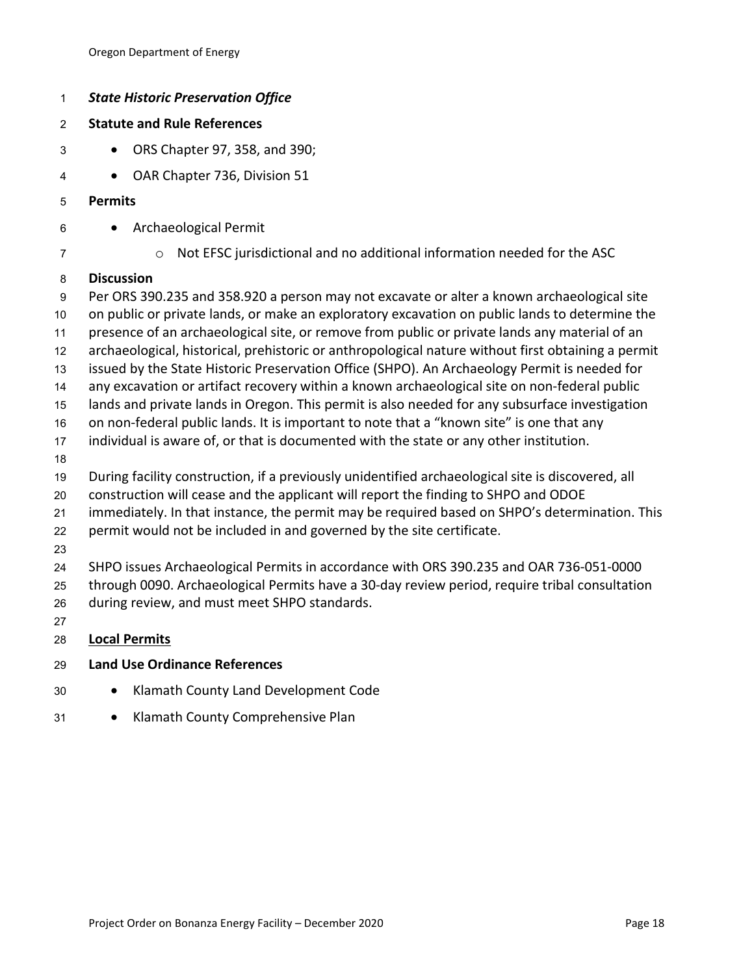| 1                         | <b>State Historic Preservation Office</b>                                                                                                     |  |  |  |  |
|---------------------------|-----------------------------------------------------------------------------------------------------------------------------------------------|--|--|--|--|
| $\overline{2}$            | <b>Statute and Rule References</b>                                                                                                            |  |  |  |  |
| $\ensuremath{\mathsf{3}}$ | ORS Chapter 97, 358, and 390;<br>$\bullet$                                                                                                    |  |  |  |  |
| $\overline{\mathbf{4}}$   | OAR Chapter 736, Division 51                                                                                                                  |  |  |  |  |
| 5                         | <b>Permits</b>                                                                                                                                |  |  |  |  |
| 6                         | Archaeological Permit                                                                                                                         |  |  |  |  |
| $\boldsymbol{7}$          | Not EFSC jurisdictional and no additional information needed for the ASC<br>$\circ$                                                           |  |  |  |  |
| 8                         | <b>Discussion</b>                                                                                                                             |  |  |  |  |
| $\boldsymbol{9}$          | Per ORS 390.235 and 358.920 a person may not excavate or alter a known archaeological site                                                    |  |  |  |  |
| $10$                      | on public or private lands, or make an exploratory excavation on public lands to determine the                                                |  |  |  |  |
| 11                        | presence of an archaeological site, or remove from public or private lands any material of an                                                 |  |  |  |  |
| 12                        | archaeological, historical, prehistoric or anthropological nature without first obtaining a permit                                            |  |  |  |  |
| 13                        | issued by the State Historic Preservation Office (SHPO). An Archaeology Permit is needed for                                                  |  |  |  |  |
| 14                        | any excavation or artifact recovery within a known archaeological site on non-federal public                                                  |  |  |  |  |
| 15                        | lands and private lands in Oregon. This permit is also needed for any subsurface investigation                                                |  |  |  |  |
| 16                        | on non-federal public lands. It is important to note that a "known site" is one that any                                                      |  |  |  |  |
| 17                        | individual is aware of, or that is documented with the state or any other institution.                                                        |  |  |  |  |
| 18                        |                                                                                                                                               |  |  |  |  |
| 19                        | During facility construction, if a previously unidentified archaeological site is discovered, all                                             |  |  |  |  |
| 20                        | construction will cease and the applicant will report the finding to SHPO and ODOE                                                            |  |  |  |  |
| 21                        | immediately. In that instance, the permit may be required based on SHPO's determination. This                                                 |  |  |  |  |
| 22                        | permit would not be included in and governed by the site certificate.                                                                         |  |  |  |  |
| 23                        |                                                                                                                                               |  |  |  |  |
| 24                        | SHPO issues Archaeological Permits in accordance with ORS 390.235 and OAR 736-051-0000                                                        |  |  |  |  |
| 25<br>26                  | through 0090. Archaeological Permits have a 30-day review period, require tribal consultation<br>during review, and must meet SHPO standards. |  |  |  |  |
| 27                        |                                                                                                                                               |  |  |  |  |
| 28                        | <b>Local Permits</b>                                                                                                                          |  |  |  |  |
| 29                        | <b>Land Use Ordinance References</b>                                                                                                          |  |  |  |  |
|                           |                                                                                                                                               |  |  |  |  |

- 30 Klamath County Land Development Code
- 31 Klamath County Comprehensive Plan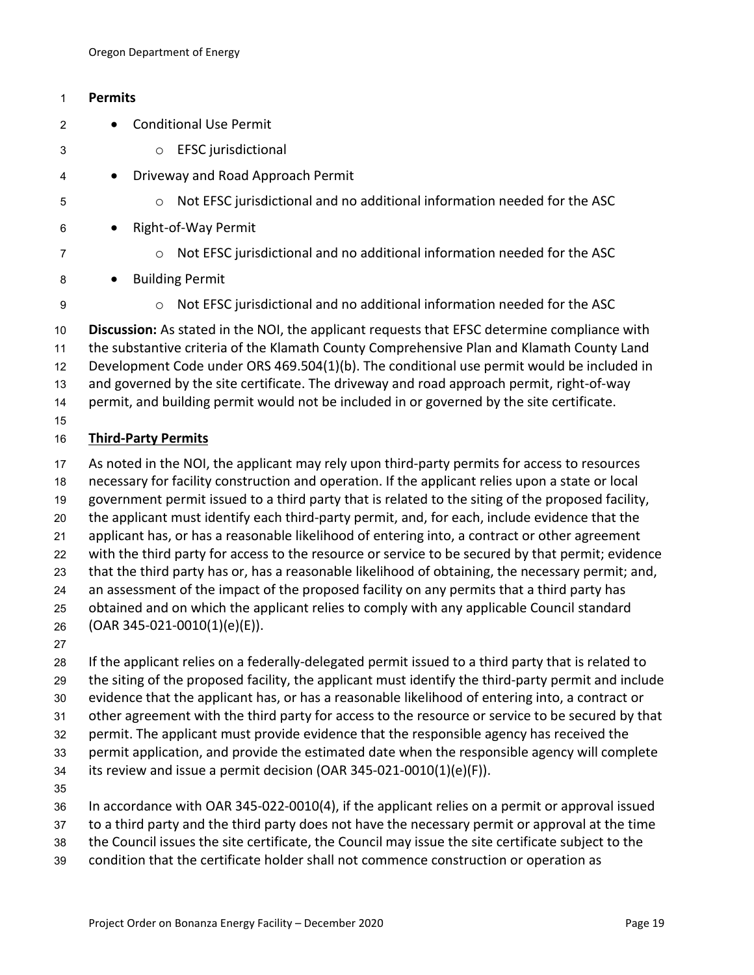# **Permits**

- 2 Conditional Use Permit
- o EFSC jurisdictional
- 4 Driveway and Road Approach Permit
- o Not EFSC jurisdictional and no additional information needed for the ASC
- Right-of-Way Permit
- 
- o Not EFSC jurisdictional and no additional information needed for the ASC
- 8 Building Permit
- 

o Not EFSC jurisdictional and no additional information needed for the ASC

 **Discussion:** As stated in the NOI, the applicant requests that EFSC determine compliance with the substantive criteria of the Klamath County Comprehensive Plan and Klamath County Land Development Code under ORS 469.504(1)(b). The conditional use permit would be included in and governed by the site certificate. The driveway and road approach permit, right-of-way permit, and building permit would not be included in or governed by the site certificate. 

# **Third-Party Permits**

 As noted in the NOI, the applicant may rely upon third-party permits for access to resources necessary for facility construction and operation. If the applicant relies upon a state or local government permit issued to a third party that is related to the siting of the proposed facility, the applicant must identify each third-party permit, and, for each, include evidence that the applicant has, or has a reasonable likelihood of entering into, a contract or other agreement with the third party for access to the resource or service to be secured by that permit; evidence that the third party has or, has a reasonable likelihood of obtaining, the necessary permit; and, an assessment of the impact of the proposed facility on any permits that a third party has obtained and on which the applicant relies to comply with any applicable Council standard (OAR 345-021-0010(1)(e)(E)).

 If the applicant relies on a federally-delegated permit issued to a third party that is related to the siting of the proposed facility, the applicant must identify the third-party permit and include evidence that the applicant has, or has a reasonable likelihood of entering into, a contract or other agreement with the third party for access to the resource or service to be secured by that permit. The applicant must provide evidence that the responsible agency has received the permit application, and provide the estimated date when the responsible agency will complete its review and issue a permit decision (OAR 345-021-0010(1)(e)(F)). In accordance with OAR 345-022-0010(4), if the applicant relies on a permit or approval issued

- to a third party and the third party does not have the necessary permit or approval at the time
- the Council issues the site certificate, the Council may issue the site certificate subject to the
- condition that the certificate holder shall not commence construction or operation as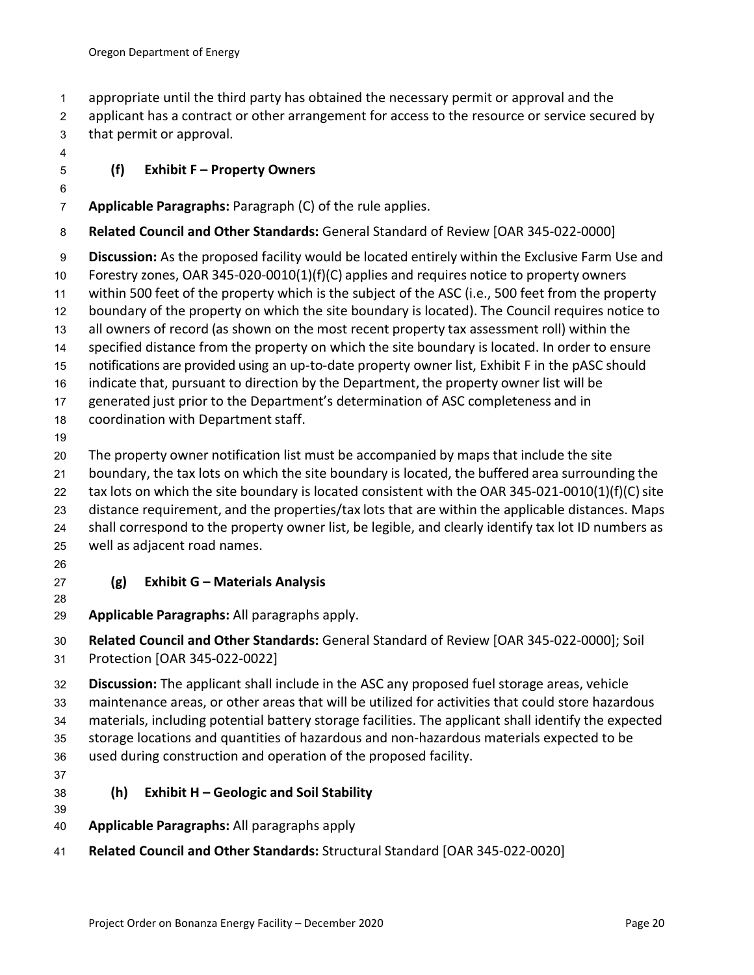- appropriate until the third party has obtained the necessary permit or approval and the
- 2 applicant has a contract or other arrangement for access to the resource or service secured by
- that permit or approval.
- 

# **(f) Exhibit F – Property Owners**

# **Applicable Paragraphs:** Paragraph (C) of the rule applies.

## **Related Council and Other Standards:** General Standard of Review [OAR 345-022-0000]

**Discussion:** As the proposed facility would be located entirely within the Exclusive Farm Use and

- Forestry zones, OAR 345-020-0010(1)(f)(C) applies and requires notice to property owners
- within 500 feet of the property which is the subject of the ASC (i.e., 500 feet from the property
- boundary of the property on which the site boundary is located). The Council requires notice to all owners of record (as shown on the most recent property tax assessment roll) within the
- specified distance from the property on which the site boundary is located. In order to ensure
- notifications are provided using an up-to-date property owner list, Exhibit F in the pASC should
- indicate that, pursuant to direction by the Department, the property owner list will be
- generated just prior to the Department's determination of ASC completeness and in
- 18 coordination with Department staff.
- 

The property owner notification list must be accompanied by maps that include the site

- boundary, the tax lots on which the site boundary is located, the buffered area surrounding the
- 22 tax lots on which the site boundary is located consistent with the OAR 345-021-0010(1)(f)(C) site
- distance requirement, and the properties/tax lots that are within the applicable distances. Maps
- shall correspond to the property owner list, be legible, and clearly identify tax lot ID numbers as well as adjacent road names.
- 

# **(g) Exhibit G – Materials Analysis**

- **Applicable Paragraphs:** All paragraphs apply.
- **Related Council and Other Standards:** General Standard of Review [OAR 345-022-0000]; Soil
- Protection [OAR 345-022-0022]
- **Discussion:** The applicant shall include in the ASC any proposed fuel storage areas, vehicle
- maintenance areas, or other areas that will be utilized for activities that could store hazardous
- materials, including potential battery storage facilities. The applicant shall identify the expected
- storage locations and quantities of hazardous and non-hazardous materials expected to be
- used during construction and operation of the proposed facility.
- 

# **(h) Exhibit H – Geologic and Soil Stability**

- **Applicable Paragraphs:** All paragraphs apply
- **Related Council and Other Standards:** Structural Standard [OAR 345-022-0020]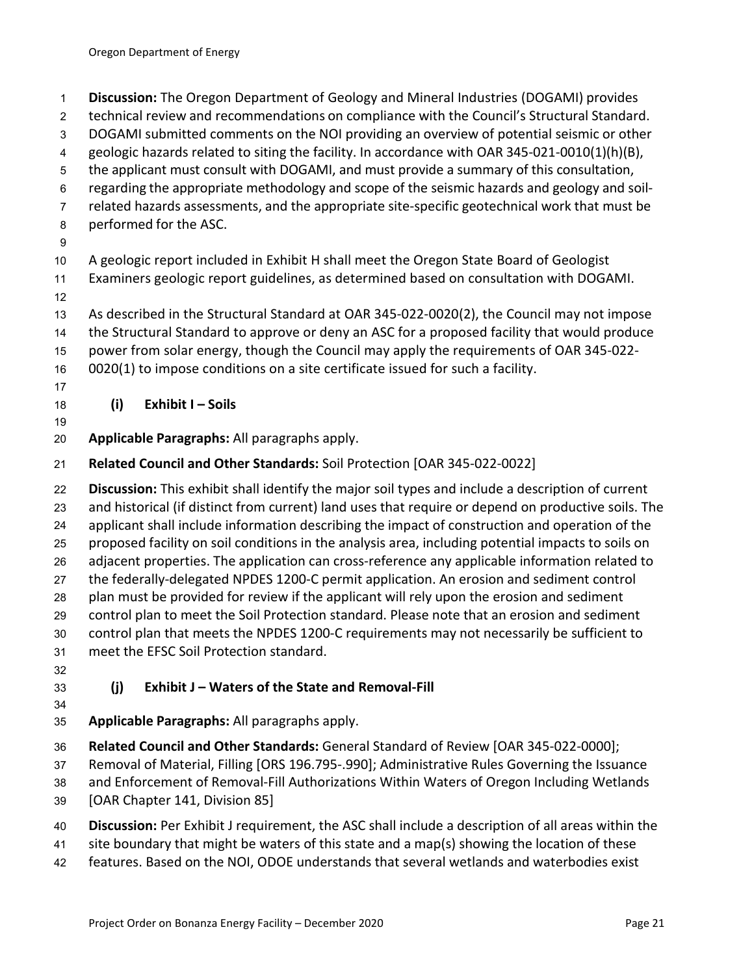- **Discussion:** The Oregon Department of Geology and Mineral Industries (DOGAMI) provides
- technical review and recommendations on compliance with the Council's Structural Standard.
- DOGAMI submitted comments on the NOI providing an overview of potential seismic or other
- geologic hazards related to siting the facility. In accordance with OAR 345-021-0010(1)(h)(B),
- the applicant must consult with DOGAMI, and must provide a summary of this consultation,
- regarding the appropriate methodology and scope of the seismic hazards and geology and soil-
- related hazards assessments, and the appropriate site-specific geotechnical work that must be
- performed for the ASC.
- 

A geologic report included in Exhibit H shall meet the Oregon State Board of Geologist

- Examiners geologic report guidelines, as determined based on consultation with DOGAMI.
- 
- As described in the Structural Standard at OAR 345-022-0020(2), the Council may not impose
- the Structural Standard to approve or deny an ASC for a proposed facility that would produce
- power from solar energy, though the Council may apply the requirements of OAR 345-022-
- 0020(1) to impose conditions on a site certificate issued for such a facility.
- 

**(i) Exhibit I – Soils**

- **Applicable Paragraphs:** All paragraphs apply.
- **Related Council and Other Standards:** Soil Protection [OAR 345-022-0022]

 **Discussion:** This exhibit shall identify the major soil types and include a description of current and historical (if distinct from current) land uses that require or depend on productive soils. The applicant shall include information describing the impact of construction and operation of the proposed facility on soil conditions in the analysis area, including potential impacts to soils on adjacent properties. The application can cross-reference any applicable information related to the federally-delegated NPDES 1200-C permit application. An erosion and sediment control plan must be provided for review if the applicant will rely upon the erosion and sediment control plan to meet the Soil Protection standard. Please note that an erosion and sediment control plan that meets the NPDES 1200-C requirements may not necessarily be sufficient to meet the EFSC Soil Protection standard.

# **(j) Exhibit J – Waters of the State and Removal-Fill**

- **Applicable Paragraphs:** All paragraphs apply.
- **Related Council and Other Standards:** General Standard of Review [OAR 345-022-0000];

Removal of Material, Filling [ORS 196.795-.990]; Administrative Rules Governing the Issuance

and Enforcement of Removal-Fill Authorizations Within Waters of Oregon Including Wetlands

- [OAR Chapter 141, Division 85]
- **Discussion:** Per Exhibit J requirement, the ASC shall include a description of all areas within the
- site boundary that might be waters of this state and a map(s) showing the location of these
- features. Based on the NOI, ODOE understands that several wetlands and waterbodies exist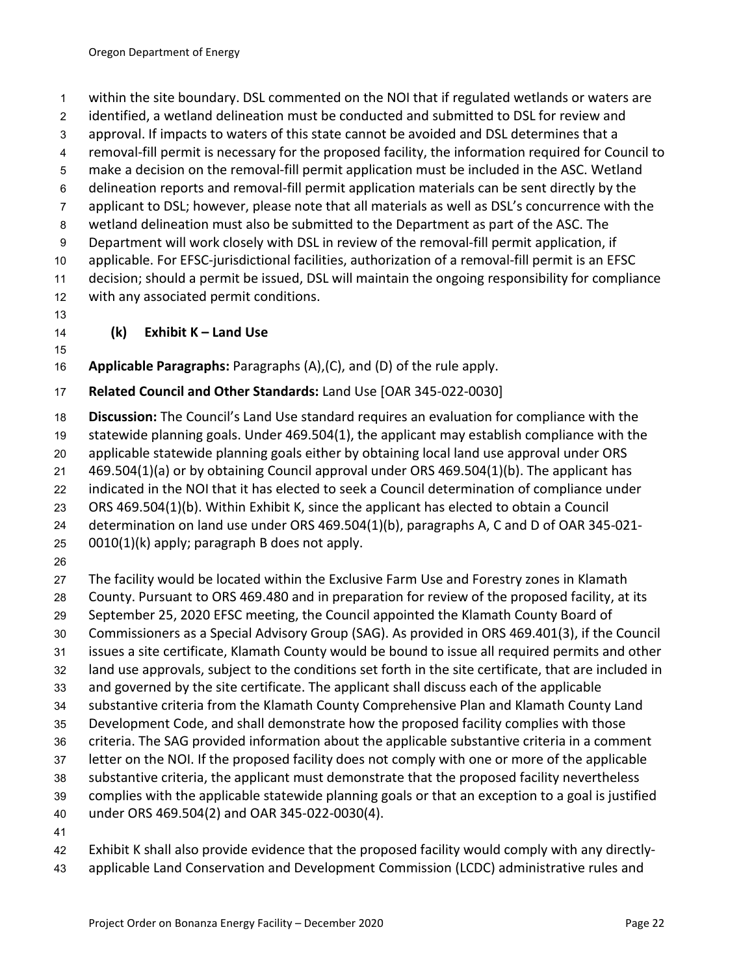within the site boundary. DSL commented on the NOI that if regulated wetlands or waters are

identified, a wetland delineation must be conducted and submitted to DSL for review and

approval. If impacts to waters of this state cannot be avoided and DSL determines that a

removal-fill permit is necessary for the proposed facility, the information required for Council to

- make a decision on the removal-fill permit application must be included in the ASC. Wetland
- delineation reports and removal-fill permit application materials can be sent directly by the

applicant to DSL; however, please note that all materials as well as DSL's concurrence with the

 wetland delineation must also be submitted to the Department as part of the ASC. The Department will work closely with DSL in review of the removal-fill permit application, if

applicable. For EFSC-jurisdictional facilities, authorization of a removal-fill permit is an EFSC

 decision; should a permit be issued, DSL will maintain the ongoing responsibility for compliance with any associated permit conditions.

# **(k) Exhibit K – Land Use**

**Applicable Paragraphs:** Paragraphs (A),(C), and (D) of the rule apply.

# **Related Council and Other Standards:** Land Use [OAR 345-022-0030]

**Discussion:** The Council's Land Use standard requires an evaluation for compliance with the

statewide planning goals. Under 469.504(1), the applicant may establish compliance with the

 applicable statewide planning goals either by obtaining local land use approval under ORS 469.504(1)(a) or by obtaining Council approval under ORS 469.504(1)(b). The applicant has

indicated in the NOI that it has elected to seek a Council determination of compliance under

ORS 469.504(1)(b). Within Exhibit K, since the applicant has elected to obtain a Council

determination on land use under ORS 469.504(1)(b), paragraphs A, C and D of OAR 345-021-

0010(1)(k) apply; paragraph B does not apply.

 The facility would be located within the Exclusive Farm Use and Forestry zones in Klamath County. Pursuant to ORS 469.480 and in preparation for review of the proposed facility, at its

- September 25, 2020 EFSC meeting, the Council appointed the Klamath County Board of
- Commissioners as a Special Advisory Group (SAG). As provided in ORS 469.401(3), if the Council
- issues a site certificate, Klamath County would be bound to issue all required permits and other
- land use approvals, subject to the conditions set forth in the site certificate, that are included in
- and governed by the site certificate. The applicant shall discuss each of the applicable
- substantive criteria from the Klamath County Comprehensive Plan and Klamath County Land
- Development Code, and shall demonstrate how the proposed facility complies with those
- criteria. The SAG provided information about the applicable substantive criteria in a comment
- letter on the NOI. If the proposed facility does not comply with one or more of the applicable substantive criteria, the applicant must demonstrate that the proposed facility nevertheless
- complies with the applicable statewide planning goals or that an exception to a goal is justified
- under ORS 469.504(2) and OAR 345-022-0030(4).
- 

Exhibit K shall also provide evidence that the proposed facility would comply with any directly-

applicable Land Conservation and Development Commission (LCDC) administrative rules and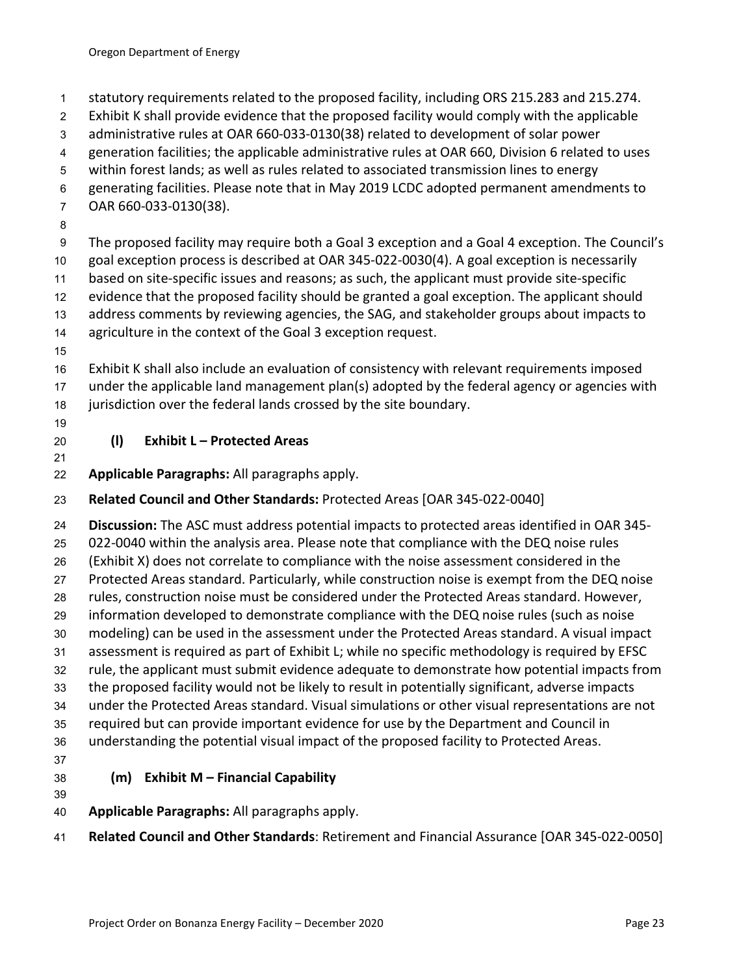- statutory requirements related to the proposed facility, including ORS 215.283 and 215.274.
- Exhibit K shall provide evidence that the proposed facility would comply with the applicable
- administrative rules at OAR 660-033-0130(38) related to development of solar power
- generation facilities; the applicable administrative rules at OAR 660, Division 6 related to uses
- within forest lands; as well as rules related to associated transmission lines to energy
- generating facilities. Please note that in May 2019 LCDC adopted permanent amendments to
- OAR 660-033-0130(38).
- 

 The proposed facility may require both a Goal 3 exception and a Goal 4 exception. The Council's goal exception process is described at OAR 345-022-0030(4). A goal exception is necessarily

- based on site-specific issues and reasons; as such, the applicant must provide site-specific
- evidence that the proposed facility should be granted a goal exception. The applicant should
- address comments by reviewing agencies, the SAG, and stakeholder groups about impacts to
- agriculture in the context of the Goal 3 exception request.
- 

 Exhibit K shall also include an evaluation of consistency with relevant requirements imposed under the applicable land management plan(s) adopted by the federal agency or agencies with jurisdiction over the federal lands crossed by the site boundary.

# **(l) Exhibit L – Protected Areas**

**Applicable Paragraphs:** All paragraphs apply.

# **Related Council and Other Standards:** Protected Areas [OAR 345-022-0040]

 **Discussion:** The ASC must address potential impacts to protected areas identified in OAR 345- 022-0040 within the analysis area. Please note that compliance with the DEQ noise rules (Exhibit X) does not correlate to compliance with the noise assessment considered in the Protected Areas standard. Particularly, while construction noise is exempt from the DEQ noise rules, construction noise must be considered under the Protected Areas standard. However, information developed to demonstrate compliance with the DEQ noise rules (such as noise modeling) can be used in the assessment under the Protected Areas standard. A visual impact assessment is required as part of Exhibit L; while no specific methodology is required by EFSC rule, the applicant must submit evidence adequate to demonstrate how potential impacts from the proposed facility would not be likely to result in potentially significant, adverse impacts under the Protected Areas standard. Visual simulations or other visual representations are not required but can provide important evidence for use by the Department and Council in understanding the potential visual impact of the proposed facility to Protected Areas. 

# **(m) Exhibit M – Financial Capability**

- **Applicable Paragraphs:** All paragraphs apply.
- **Related Council and Other Standards**: Retirement and Financial Assurance [OAR 345-022-0050]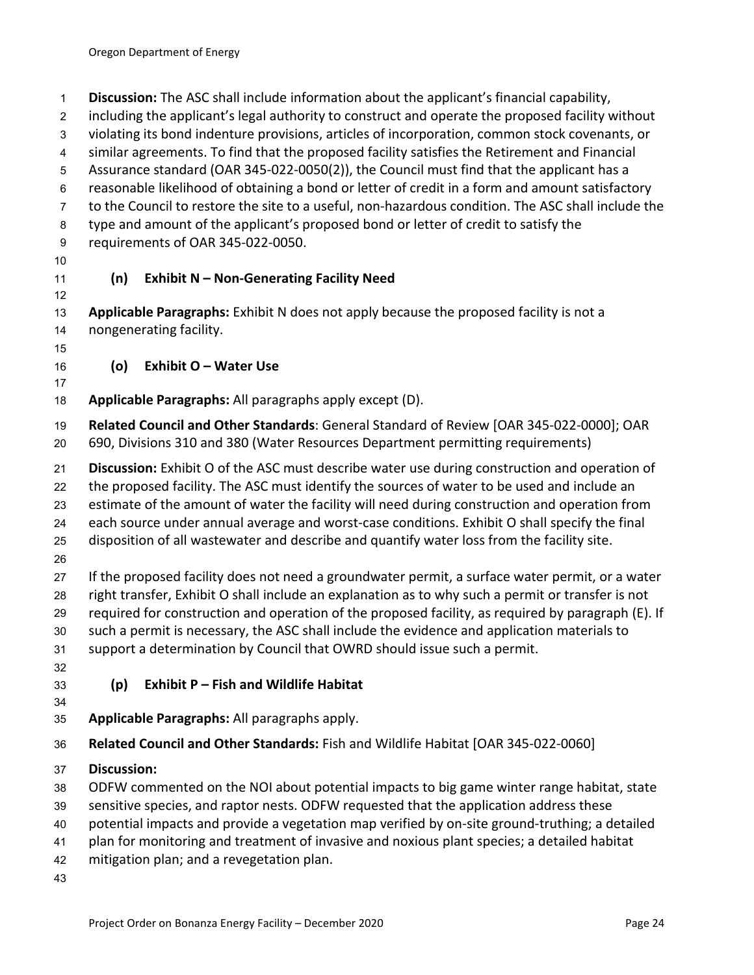**Discussion:** The ASC shall include information about the applicant's financial capability,

including the applicant's legal authority to construct and operate the proposed facility without

- violating its bond indenture provisions, articles of incorporation, common stock covenants, or
- similar agreements. To find that the proposed facility satisfies the Retirement and Financial
- Assurance standard (OAR 345-022-0050(2)), the Council must find that the applicant has a
- reasonable likelihood of obtaining a bond or letter of credit in a form and amount satisfactory to the Council to restore the site to a useful, non-hazardous condition. The ASC shall include the
- type and amount of the applicant's proposed bond or letter of credit to satisfy the
- requirements of OAR 345-022-0050.
- 
- 

# **(n) Exhibit N – Non-Generating Facility Need**

 **Applicable Paragraphs:** Exhibit N does not apply because the proposed facility is not a nongenerating facility.

**(o) Exhibit O – Water Use**

**Applicable Paragraphs:** All paragraphs apply except (D).

 **Related Council and Other Standards**: General Standard of Review [OAR 345-022-0000]; OAR 690, Divisions 310 and 380 (Water Resources Department permitting requirements)

**Discussion:** Exhibit O of the ASC must describe water use during construction and operation of

the proposed facility. The ASC must identify the sources of water to be used and include an

estimate of the amount of water the facility will need during construction and operation from

each source under annual average and worst-case conditions. Exhibit O shall specify the final

- disposition of all wastewater and describe and quantify water loss from the facility site.
- 

 If the proposed facility does not need a groundwater permit, a surface water permit, or a water right transfer, Exhibit O shall include an explanation as to why such a permit or transfer is not required for construction and operation of the proposed facility, as required by paragraph (E). If such a permit is necessary, the ASC shall include the evidence and application materials to support a determination by Council that OWRD should issue such a permit.

# **(p) Exhibit P – Fish and Wildlife Habitat**

**Applicable Paragraphs:** All paragraphs apply.

**Related Council and Other Standards:** Fish and Wildlife Habitat [OAR 345-022-0060]

**Discussion:** 

ODFW commented on the NOI about potential impacts to big game winter range habitat, state

- sensitive species, and raptor nests. ODFW requested that the application address these
- potential impacts and provide a vegetation map verified by on-site ground-truthing; a detailed
- plan for monitoring and treatment of invasive and noxious plant species; a detailed habitat
- mitigation plan; and a revegetation plan.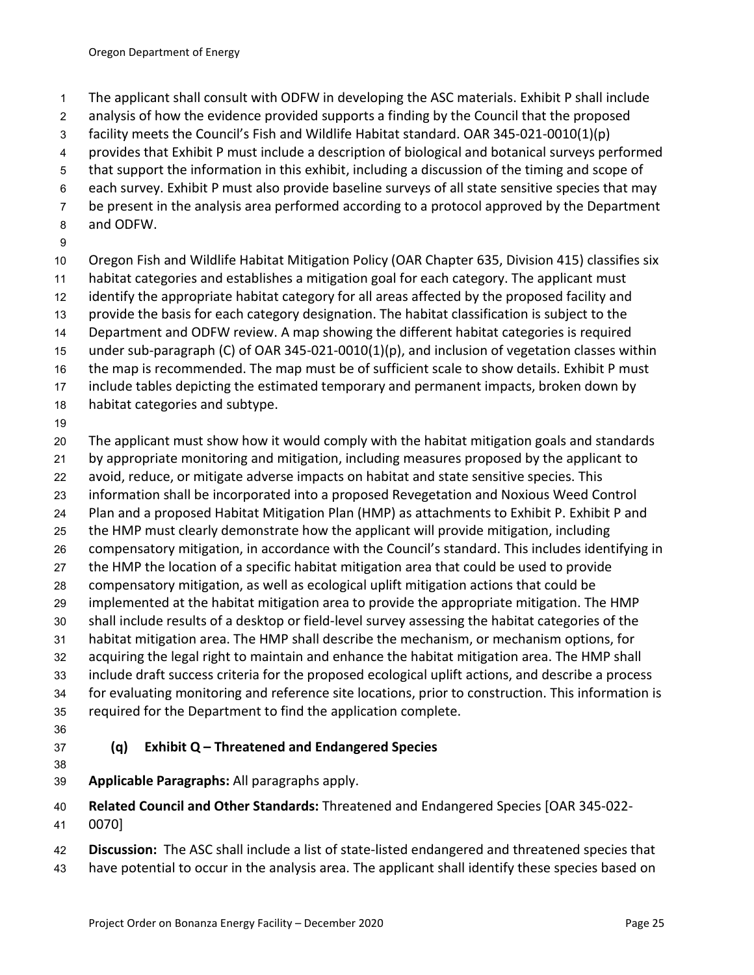- The applicant shall consult with ODFW in developing the ASC materials. Exhibit P shall include
- analysis of how the evidence provided supports a finding by the Council that the proposed
- facility meets the Council's Fish and Wildlife Habitat standard. OAR 345-021-0010(1)(p)
- provides that Exhibit P must include a description of biological and botanical surveys performed
- that support the information in this exhibit, including a discussion of the timing and scope of
- each survey. Exhibit P must also provide baseline surveys of all state sensitive species that may
- be present in the analysis area performed according to a protocol approved by the Department
- and ODFW.
- 

Oregon Fish and Wildlife Habitat Mitigation Policy (OAR Chapter 635, Division 415) classifies six

- habitat categories and establishes a mitigation goal for each category. The applicant must
- identify the appropriate habitat category for all areas affected by the proposed facility and
- provide the basis for each category designation. The habitat classification is subject to the
- Department and ODFW review. A map showing the different habitat categories is required
- under sub-paragraph (C) of OAR 345-021-0010(1)(p), and inclusion of vegetation classes within
- the map is recommended. The map must be of sufficient scale to show details. Exhibit P must include tables depicting the estimated temporary and permanent impacts, broken down by
- habitat categories and subtype.
- 

The applicant must show how it would comply with the habitat mitigation goals and standards

- by appropriate monitoring and mitigation, including measures proposed by the applicant to
- avoid, reduce, or mitigate adverse impacts on habitat and state sensitive species. This
- information shall be incorporated into a proposed Revegetation and Noxious Weed Control
- Plan and a proposed Habitat Mitigation Plan (HMP) as attachments to Exhibit P. Exhibit P and
- the HMP must clearly demonstrate how the applicant will provide mitigation, including
- compensatory mitigation, in accordance with the Council's standard. This includes identifying in
- the HMP the location of a specific habitat mitigation area that could be used to provide
- compensatory mitigation, as well as ecological uplift mitigation actions that could be
- implemented at the habitat mitigation area to provide the appropriate mitigation. The HMP
- shall include results of a desktop or field-level survey assessing the habitat categories of the
- habitat mitigation area. The HMP shall describe the mechanism, or mechanism options, for
- acquiring the legal right to maintain and enhance the habitat mitigation area. The HMP shall
- include draft success criteria for the proposed ecological uplift actions, and describe a process
- for evaluating monitoring and reference site locations, prior to construction. This information is required for the Department to find the application complete.
- 
- 

# **(q) Exhibit Q – Threatened and Endangered Species**

- 
- **Applicable Paragraphs:** All paragraphs apply.
- **Related Council and Other Standards:** Threatened and Endangered Species [OAR 345-022-
- 0070]
- **Discussion:** The ASC shall include a list of state-listed endangered and threatened species that
- have potential to occur in the analysis area. The applicant shall identify these species based on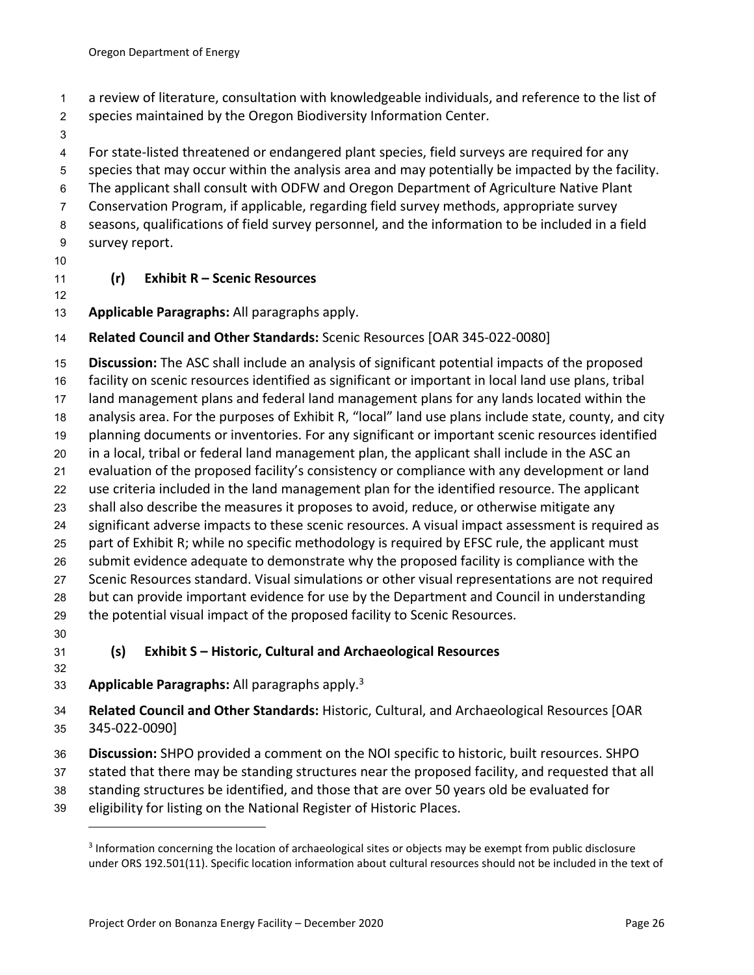- a review of literature, consultation with knowledgeable individuals, and reference to the list of
- species maintained by the Oregon Biodiversity Information Center.
- 

For state-listed threatened or endangered plant species, field surveys are required for any

- species that may occur within the analysis area and may potentially be impacted by the facility.
- The applicant shall consult with ODFW and Oregon Department of Agriculture Native Plant
- Conservation Program, if applicable, regarding field survey methods, appropriate survey
- seasons, qualifications of field survey personnel, and the information to be included in a field
- survey report.
- 

# **(r) Exhibit R – Scenic Resources**

**Applicable Paragraphs:** All paragraphs apply.

# **Related Council and Other Standards:** Scenic Resources [OAR 345-022-0080]

 **Discussion:** The ASC shall include an analysis of significant potential impacts of the proposed facility on scenic resources identified as significant or important in local land use plans, tribal land management plans and federal land management plans for any lands located within the analysis area. For the purposes of Exhibit R, "local" land use plans include state, county, and city planning documents or inventories. For any significant or important scenic resources identified in a local, tribal or federal land management plan, the applicant shall include in the ASC an evaluation of the proposed facility's consistency or compliance with any development or land use criteria included in the land management plan for the identified resource. The applicant shall also describe the measures it proposes to avoid, reduce, or otherwise mitigate any significant adverse impacts to these scenic resources. A visual impact assessment is required as part of Exhibit R; while no specific methodology is required by EFSC rule, the applicant must submit evidence adequate to demonstrate why the proposed facility is compliance with the Scenic Resources standard. Visual simulations or other visual representations are not required but can provide important evidence for use by the Department and Council in understanding the potential visual impact of the proposed facility to Scenic Resources.

# **(s) Exhibit S – Historic, Cultural and Archaeological Resources**

- **Applicable Paragraphs:** All paragraphs apply.3
- **Related Council and Other Standards:** Historic, Cultural, and Archaeological Resources [OAR 345-022-0090]
- **Discussion:** SHPO provided a comment on the NOI specific to historic, built resources. SHPO
- stated that there may be standing structures near the proposed facility, and requested that all
- standing structures be identified, and those that are over 50 years old be evaluated for
- eligibility for listing on the National Register of Historic Places.

<sup>&</sup>lt;sup>3</sup> Information concerning the location of archaeological sites or objects may be exempt from public disclosure under ORS 192.501(11). Specific location information about cultural resources should not be included in the text of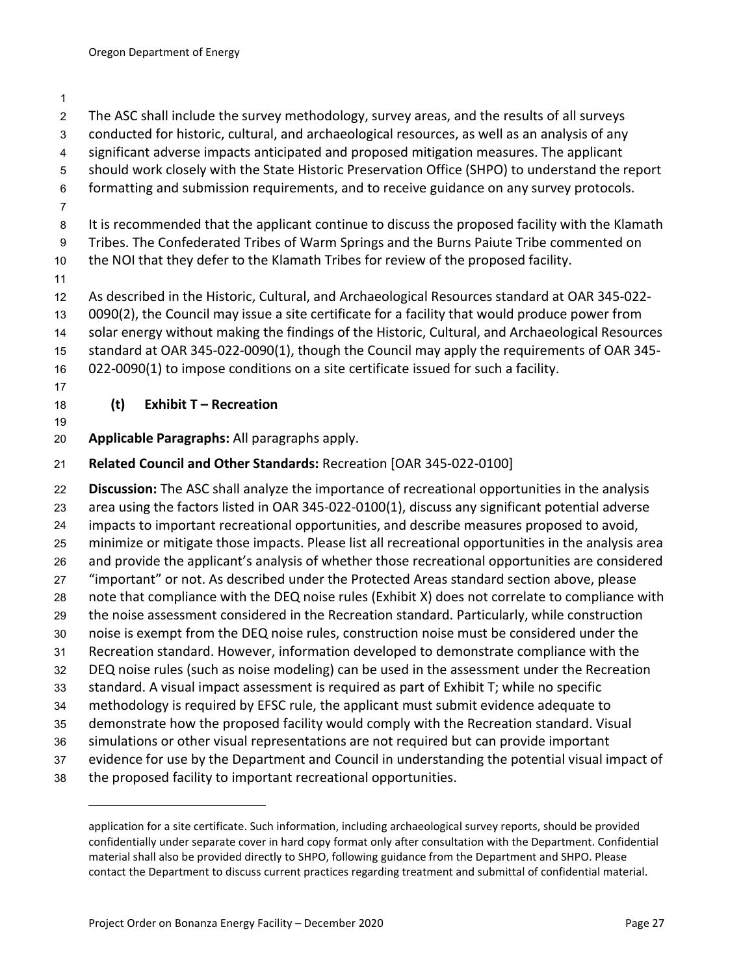significant adverse impacts anticipated and proposed mitigation measures. The applicant should work closely with the State Historic Preservation Office (SHPO) to understand the report formatting and submission requirements, and to receive guidance on any survey protocols. It is recommended that the applicant continue to discuss the proposed facility with the Klamath Tribes. The Confederated Tribes of Warm Springs and the Burns Paiute Tribe commented on the NOI that they defer to the Klamath Tribes for review of the proposed facility. As described in the Historic, Cultural, and Archaeological Resources standard at OAR 345-022- 0090(2), the Council may issue a site certificate for a facility that would produce power from solar energy without making the findings of the Historic, Cultural, and Archaeological Resources standard at OAR 345-022-0090(1), though the Council may apply the requirements of OAR 345- 022-0090(1) to impose conditions on a site certificate issued for such a facility. **(t) Exhibit T – Recreation Applicable Paragraphs:** All paragraphs apply. **Related Council and Other Standards:** Recreation [OAR 345-022-0100] **Discussion:** The ASC shall analyze the importance of recreational opportunities in the analysis area using the factors listed in OAR 345-022-0100(1), discuss any significant potential adverse impacts to important recreational opportunities, and describe measures proposed to avoid, minimize or mitigate those impacts. Please list all recreational opportunities in the analysis area and provide the applicant's analysis of whether those recreational opportunities are considered "important" or not. As described under the Protected Areas standard section above, please note that compliance with the DEQ noise rules (Exhibit X) does not correlate to compliance with the noise assessment considered in the Recreation standard. Particularly, while construction noise is exempt from the DEQ noise rules, construction noise must be considered under the Recreation standard. However, information developed to demonstrate compliance with the DEQ noise rules (such as noise modeling) can be used in the assessment under the Recreation standard. A visual impact assessment is required as part of Exhibit T; while no specific methodology is required by EFSC rule, the applicant must submit evidence adequate to demonstrate how the proposed facility would comply with the Recreation standard. Visual simulations or other visual representations are not required but can provide important evidence for use by the Department and Council in understanding the potential visual impact of the proposed facility to important recreational opportunities. application for a site certificate. Such information, including archaeological survey reports, should be provided confidentially under separate cover in hard copy format only after consultation with the Department. Confidential material shall also be provided directly to SHPO, following guidance from the Department and SHPO. Please contact the Department to discuss current practices regarding treatment and submittal of confidential material.

 The ASC shall include the survey methodology, survey areas, and the results of all surveys conducted for historic, cultural, and archaeological resources, as well as an analysis of any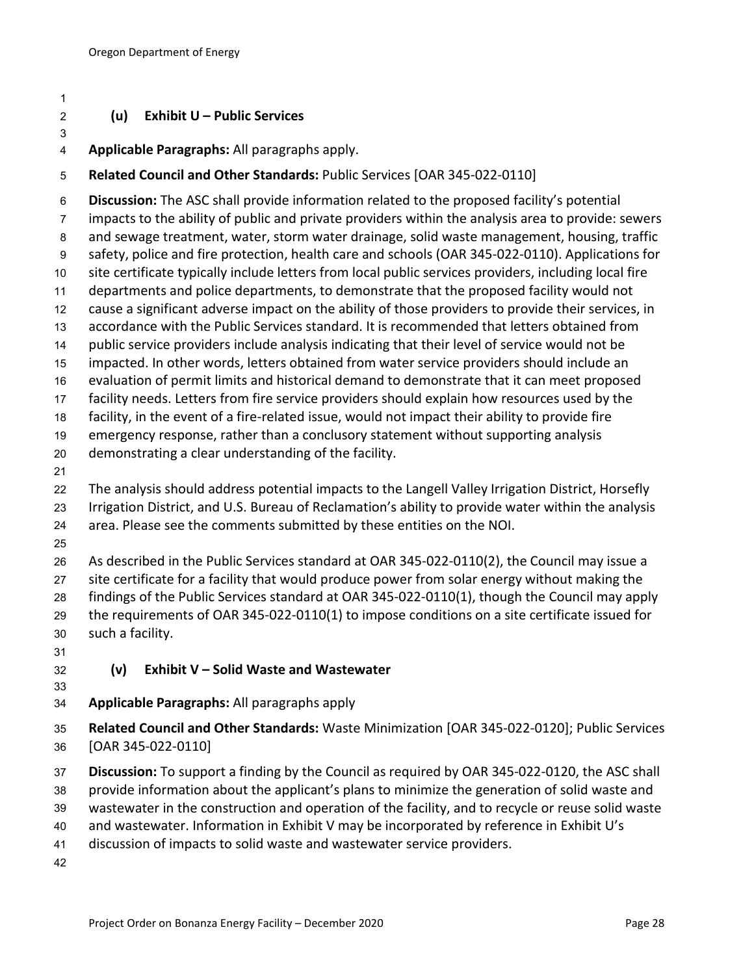## **(u) Exhibit U – Public Services**

**Applicable Paragraphs:** All paragraphs apply.

#### **Related Council and Other Standards:** Public Services [OAR 345-022-0110]

 **Discussion:** The ASC shall provide information related to the proposed facility's potential impacts to the ability of public and private providers within the analysis area to provide: sewers and sewage treatment, water, storm water drainage, solid waste management, housing, traffic safety, police and fire protection, health care and schools (OAR 345-022-0110). Applications for site certificate typically include letters from local public services providers, including local fire departments and police departments, to demonstrate that the proposed facility would not cause a significant adverse impact on the ability of those providers to provide their services, in accordance with the Public Services standard. It is recommended that letters obtained from public service providers include analysis indicating that their level of service would not be impacted. In other words, letters obtained from water service providers should include an evaluation of permit limits and historical demand to demonstrate that it can meet proposed facility needs. Letters from fire service providers should explain how resources used by the facility, in the event of a fire-related issue, would not impact their ability to provide fire emergency response, rather than a conclusory statement without supporting analysis demonstrating a clear understanding of the facility. The analysis should address potential impacts to the Langell Valley Irrigation District, Horsefly Irrigation District, and U.S. Bureau of Reclamation's ability to provide water within the analysis area. Please see the comments submitted by these entities on the NOI.

As described in the Public Services standard at OAR 345-022-0110(2), the Council may issue a

site certificate for a facility that would produce power from solar energy without making the

findings of the Public Services standard at OAR 345-022-0110(1), though the Council may apply

 the requirements of OAR 345-022-0110(1) to impose conditions on a site certificate issued for such a facility.

## **(v) Exhibit V – Solid Waste and Wastewater**

#### **Applicable Paragraphs:** All paragraphs apply

- **Related Council and Other Standards:** Waste Minimization [OAR 345-022-0120]; Public Services [OAR 345-022-0110]
- **Discussion:** To support a finding by the Council as required by OAR 345-022-0120, the ASC shall
- provide information about the applicant's plans to minimize the generation of solid waste and
- wastewater in the construction and operation of the facility, and to recycle or reuse solid waste
- and wastewater. Information in Exhibit V may be incorporated by reference in Exhibit U's
- discussion of impacts to solid waste and wastewater service providers.
-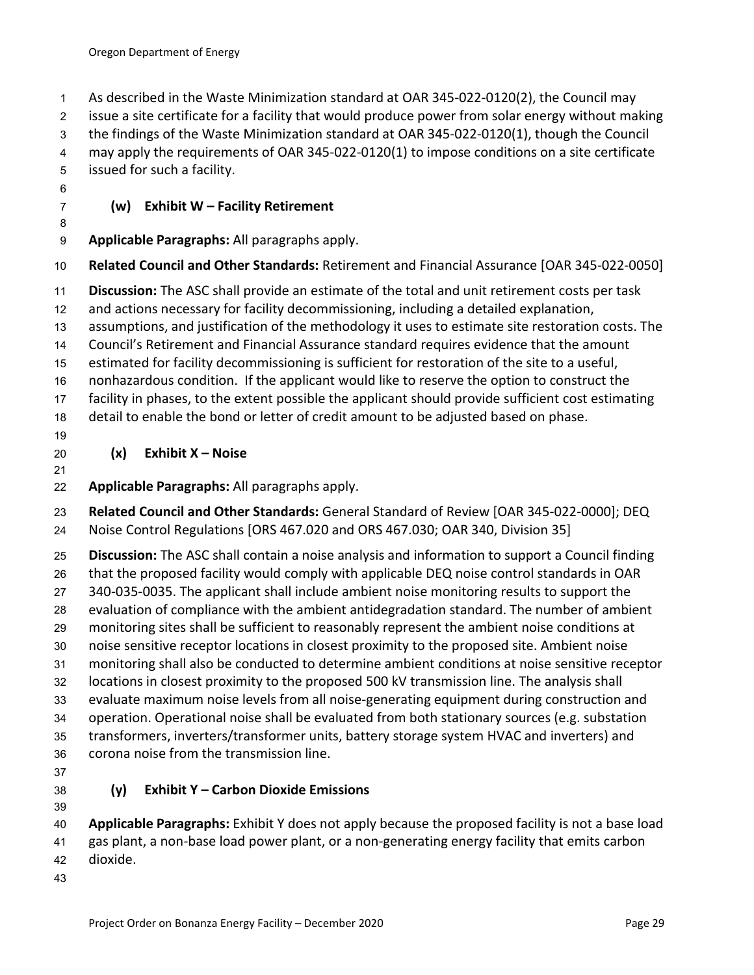As described in the Waste Minimization standard at OAR 345-022-0120(2), the Council may issue a site certificate for a facility that would produce power from solar energy without making the findings of the Waste Minimization standard at OAR 345-022-0120(1), though the Council may apply the requirements of OAR 345-022-0120(1) to impose conditions on a site certificate issued for such a facility.

## **(w) Exhibit W – Facility Retirement**

**Applicable Paragraphs:** All paragraphs apply.

**Related Council and Other Standards:** Retirement and Financial Assurance [OAR 345-022-0050]

**Discussion:** The ASC shall provide an estimate of the total and unit retirement costs per task

and actions necessary for facility decommissioning, including a detailed explanation,

assumptions, and justification of the methodology it uses to estimate site restoration costs. The

Council's Retirement and Financial Assurance standard requires evidence that the amount

estimated for facility decommissioning is sufficient for restoration of the site to a useful,

nonhazardous condition. If the applicant would like to reserve the option to construct the

facility in phases, to the extent possible the applicant should provide sufficient cost estimating

detail to enable the bond or letter of credit amount to be adjusted based on phase.

# **(x) Exhibit X – Noise**

# **Applicable Paragraphs:** All paragraphs apply.

 **Related Council and Other Standards:** General Standard of Review [OAR 345-022-0000]; DEQ Noise Control Regulations [ORS 467.020 and ORS 467.030; OAR 340, Division 35]

 **Discussion:** The ASC shall contain a noise analysis and information to support a Council finding that the proposed facility would comply with applicable DEQ noise control standards in OAR 340-035-0035. The applicant shall include ambient noise monitoring results to support the evaluation of compliance with the ambient antidegradation standard. The number of ambient monitoring sites shall be sufficient to reasonably represent the ambient noise conditions at noise sensitive receptor locations in closest proximity to the proposed site. Ambient noise monitoring shall also be conducted to determine ambient conditions at noise sensitive receptor locations in closest proximity to the proposed 500 kV transmission line. The analysis shall evaluate maximum noise levels from all noise-generating equipment during construction and operation. Operational noise shall be evaluated from both stationary sources (e.g. substation transformers, inverters/transformer units, battery storage system HVAC and inverters) and corona noise from the transmission line.

# **(y) Exhibit Y – Carbon Dioxide Emissions**

 **Applicable Paragraphs:** Exhibit Y does not apply because the proposed facility is not a base load gas plant, a non-base load power plant, or a non-generating energy facility that emits carbon dioxide.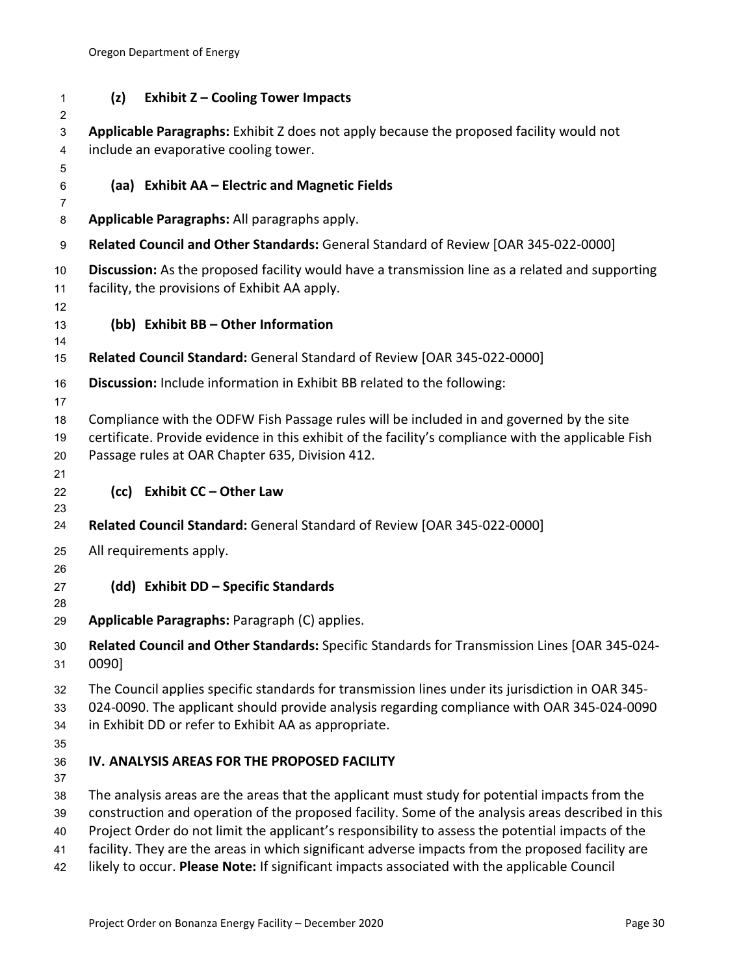| 1<br>2                     | (z)<br><b>Exhibit Z - Cooling Tower Impacts</b>                                                                                                                                                                                                                                                                                                                                                                                                                                                           |
|----------------------------|-----------------------------------------------------------------------------------------------------------------------------------------------------------------------------------------------------------------------------------------------------------------------------------------------------------------------------------------------------------------------------------------------------------------------------------------------------------------------------------------------------------|
| 3<br>4<br>5                | Applicable Paragraphs: Exhibit Z does not apply because the proposed facility would not<br>include an evaporative cooling tower.                                                                                                                                                                                                                                                                                                                                                                          |
| 6<br>7                     | (aa) Exhibit AA - Electric and Magnetic Fields                                                                                                                                                                                                                                                                                                                                                                                                                                                            |
| 8                          | Applicable Paragraphs: All paragraphs apply.                                                                                                                                                                                                                                                                                                                                                                                                                                                              |
| 9                          | Related Council and Other Standards: General Standard of Review [OAR 345-022-0000]                                                                                                                                                                                                                                                                                                                                                                                                                        |
| 10<br>11<br>12             | Discussion: As the proposed facility would have a transmission line as a related and supporting<br>facility, the provisions of Exhibit AA apply.                                                                                                                                                                                                                                                                                                                                                          |
| 13<br>14                   | (bb) Exhibit BB - Other Information                                                                                                                                                                                                                                                                                                                                                                                                                                                                       |
| 15                         | Related Council Standard: General Standard of Review [OAR 345-022-0000]                                                                                                                                                                                                                                                                                                                                                                                                                                   |
| 16<br>17                   | Discussion: Include information in Exhibit BB related to the following:                                                                                                                                                                                                                                                                                                                                                                                                                                   |
| 18<br>19<br>20<br>21       | Compliance with the ODFW Fish Passage rules will be included in and governed by the site<br>certificate. Provide evidence in this exhibit of the facility's compliance with the applicable Fish<br>Passage rules at OAR Chapter 635, Division 412.                                                                                                                                                                                                                                                        |
| 22<br>23                   | (cc) Exhibit CC - Other Law                                                                                                                                                                                                                                                                                                                                                                                                                                                                               |
| 24                         | Related Council Standard: General Standard of Review [OAR 345-022-0000]                                                                                                                                                                                                                                                                                                                                                                                                                                   |
| 25<br>26                   | All requirements apply.                                                                                                                                                                                                                                                                                                                                                                                                                                                                                   |
| 27<br>28                   | (dd) Exhibit DD - Specific Standards                                                                                                                                                                                                                                                                                                                                                                                                                                                                      |
| 29                         | Applicable Paragraphs: Paragraph (C) applies.                                                                                                                                                                                                                                                                                                                                                                                                                                                             |
| 30<br>31                   | Related Council and Other Standards: Specific Standards for Transmission Lines [OAR 345-024-<br>0090]                                                                                                                                                                                                                                                                                                                                                                                                     |
| 32<br>33<br>34<br>35       | The Council applies specific standards for transmission lines under its jurisdiction in OAR 345-<br>024-0090. The applicant should provide analysis regarding compliance with OAR 345-024-0090<br>in Exhibit DD or refer to Exhibit AA as appropriate.                                                                                                                                                                                                                                                    |
| 36<br>37                   | IV. ANALYSIS AREAS FOR THE PROPOSED FACILITY                                                                                                                                                                                                                                                                                                                                                                                                                                                              |
| 38<br>39<br>40<br>41<br>42 | The analysis areas are the areas that the applicant must study for potential impacts from the<br>construction and operation of the proposed facility. Some of the analysis areas described in this<br>Project Order do not limit the applicant's responsibility to assess the potential impacts of the<br>facility. They are the areas in which significant adverse impacts from the proposed facility are<br>likely to occur. Please Note: If significant impacts associated with the applicable Council |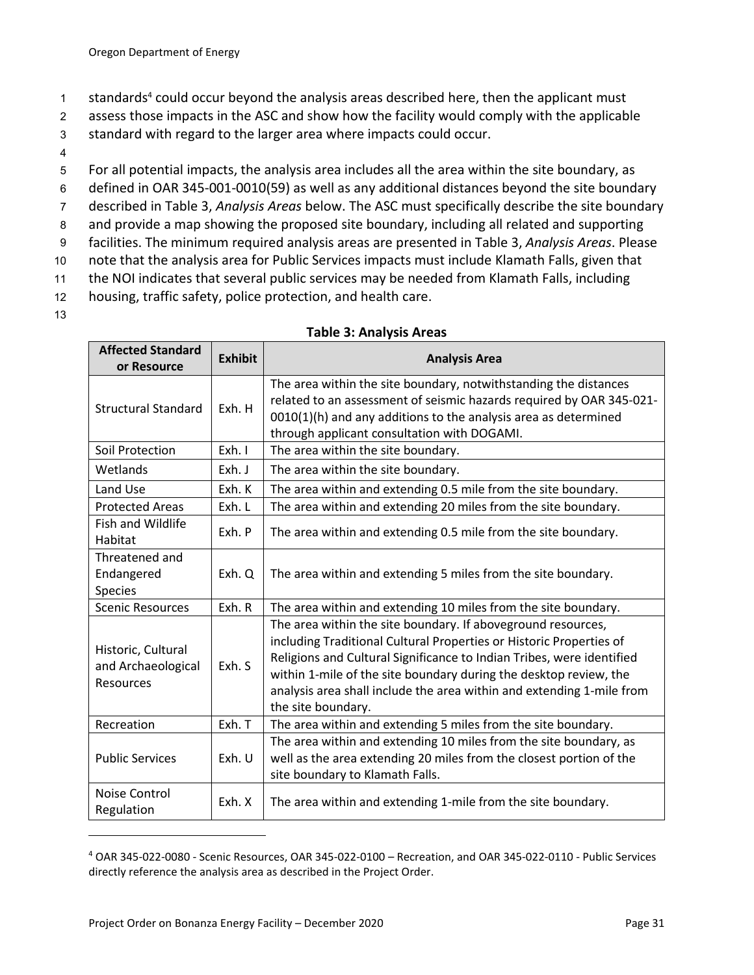- 1 standards<sup>4</sup> could occur beyond the analysis areas described here, then the applicant must
- 2 assess those impacts in the ASC and show how the facility would comply with the applicable
- 3 standard with regard to the larger area where impacts could occur.
- 4
- 5 For all potential impacts, the analysis area includes all the area within the site boundary, as
- 6 defined in OAR 345-001-0010(59) as well as any additional distances beyond the site boundary
- 7 described in Table 3, *Analysis Areas* below. The ASC must specifically describe the site boundary
- 8 and provide a map showing the proposed site boundary, including all related and supporting
- 9 facilities. The minimum required analysis areas are presented in Table 3, *Analysis Areas*. Please
- 10 note that the analysis area for Public Services impacts must include Klamath Falls, given that
- 11 the NOI indicates that several public services may be needed from Klamath Falls, including
- 12 housing, traffic safety, police protection, and health care.
- 13

| <b>Affected Standard</b><br>or Resource               | <b>Exhibit</b> | <b>Analysis Area</b>                                                                                                                                                                                                                                                                                                                                                             |
|-------------------------------------------------------|----------------|----------------------------------------------------------------------------------------------------------------------------------------------------------------------------------------------------------------------------------------------------------------------------------------------------------------------------------------------------------------------------------|
| <b>Structural Standard</b>                            | Exh. H         | The area within the site boundary, notwithstanding the distances<br>related to an assessment of seismic hazards required by OAR 345-021-<br>0010(1)(h) and any additions to the analysis area as determined<br>through applicant consultation with DOGAMI.                                                                                                                       |
| Soil Protection                                       | Exh. I         | The area within the site boundary.                                                                                                                                                                                                                                                                                                                                               |
| Wetlands                                              | Exh. J         | The area within the site boundary.                                                                                                                                                                                                                                                                                                                                               |
| Land Use                                              | Exh. K         | The area within and extending 0.5 mile from the site boundary.                                                                                                                                                                                                                                                                                                                   |
| <b>Protected Areas</b>                                | Exh. L         | The area within and extending 20 miles from the site boundary.                                                                                                                                                                                                                                                                                                                   |
| <b>Fish and Wildlife</b><br>Habitat                   | Exh. P         | The area within and extending 0.5 mile from the site boundary.                                                                                                                                                                                                                                                                                                                   |
| Threatened and<br>Endangered<br>Species               | Exh. Q         | The area within and extending 5 miles from the site boundary.                                                                                                                                                                                                                                                                                                                    |
| <b>Scenic Resources</b>                               | Exh. R         | The area within and extending 10 miles from the site boundary.                                                                                                                                                                                                                                                                                                                   |
| Historic, Cultural<br>and Archaeological<br>Resources | Exh. S         | The area within the site boundary. If aboveground resources,<br>including Traditional Cultural Properties or Historic Properties of<br>Religions and Cultural Significance to Indian Tribes, were identified<br>within 1-mile of the site boundary during the desktop review, the<br>analysis area shall include the area within and extending 1-mile from<br>the site boundary. |
| Recreation                                            | Exh. T         | The area within and extending 5 miles from the site boundary.                                                                                                                                                                                                                                                                                                                    |
| <b>Public Services</b>                                | Exh. U         | The area within and extending 10 miles from the site boundary, as<br>well as the area extending 20 miles from the closest portion of the<br>site boundary to Klamath Falls.                                                                                                                                                                                                      |
| Noise Control<br>Regulation                           | Exh. X         | The area within and extending 1-mile from the site boundary.                                                                                                                                                                                                                                                                                                                     |

#### **Table 3: Analysis Areas**

<sup>4</sup> OAR 345-022-0080 - Scenic Resources, OAR 345-022-0100 – Recreation, and OAR 345-022-0110 - Public Services directly reference the analysis area as described in the Project Order.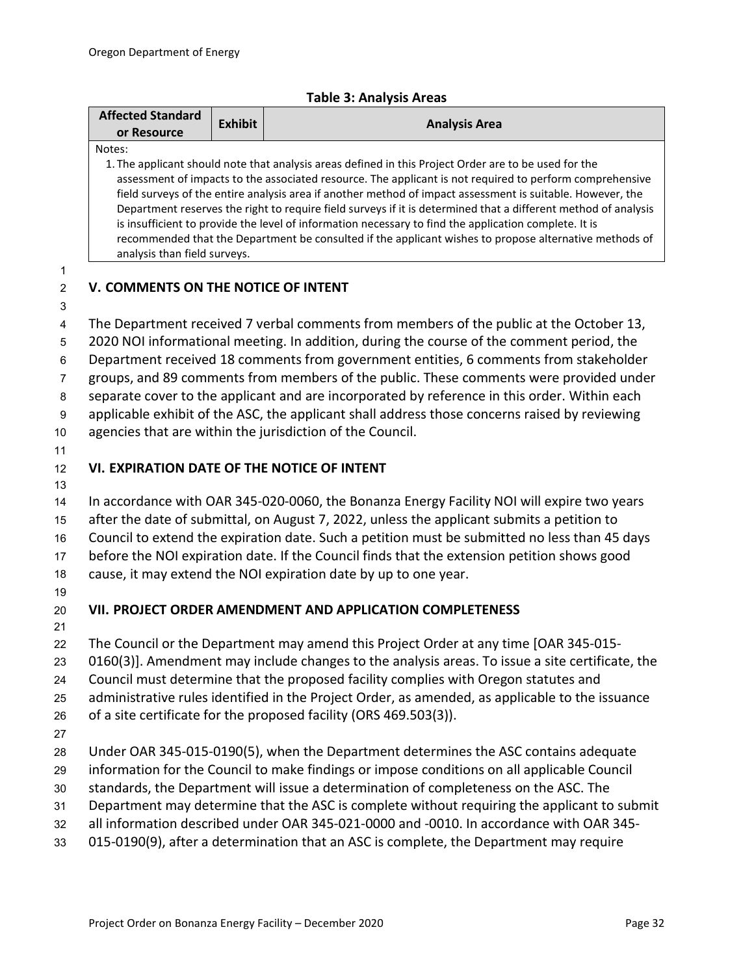|  |  |  |  | <b>Table 3: Analysis Areas</b> |
|--|--|--|--|--------------------------------|
|--|--|--|--|--------------------------------|

|                       | <b>Affected Standard</b><br>or Resource                                                                                                                                                                                                                                                                                                                                                                                                                                                                                                                                                                                                                                                                        | <b>Exhibit</b>                                                                             | <b>Analysis Area</b>                                                                                                                                                                          |  |
|-----------------------|----------------------------------------------------------------------------------------------------------------------------------------------------------------------------------------------------------------------------------------------------------------------------------------------------------------------------------------------------------------------------------------------------------------------------------------------------------------------------------------------------------------------------------------------------------------------------------------------------------------------------------------------------------------------------------------------------------------|--------------------------------------------------------------------------------------------|-----------------------------------------------------------------------------------------------------------------------------------------------------------------------------------------------|--|
|                       | Notes:<br>1. The applicant should note that analysis areas defined in this Project Order are to be used for the<br>assessment of impacts to the associated resource. The applicant is not required to perform comprehensive<br>field surveys of the entire analysis area if another method of impact assessment is suitable. However, the<br>Department reserves the right to require field surveys if it is determined that a different method of analysis<br>is insufficient to provide the level of information necessary to find the application complete. It is<br>recommended that the Department be consulted if the applicant wishes to propose alternative methods of<br>analysis than field surveys. |                                                                                            |                                                                                                                                                                                               |  |
| 1<br>$\overline{2}$   | V. COMMENTS ON THE NOTICE OF INTENT                                                                                                                                                                                                                                                                                                                                                                                                                                                                                                                                                                                                                                                                            |                                                                                            |                                                                                                                                                                                               |  |
| 3<br>4                |                                                                                                                                                                                                                                                                                                                                                                                                                                                                                                                                                                                                                                                                                                                |                                                                                            | The Department received 7 verbal comments from members of the public at the October 13,                                                                                                       |  |
| 5                     |                                                                                                                                                                                                                                                                                                                                                                                                                                                                                                                                                                                                                                                                                                                |                                                                                            | 2020 NOI informational meeting. In addition, during the course of the comment period, the                                                                                                     |  |
| 6                     |                                                                                                                                                                                                                                                                                                                                                                                                                                                                                                                                                                                                                                                                                                                |                                                                                            | Department received 18 comments from government entities, 6 comments from stakeholder                                                                                                         |  |
| 7                     |                                                                                                                                                                                                                                                                                                                                                                                                                                                                                                                                                                                                                                                                                                                |                                                                                            | groups, and 89 comments from members of the public. These comments were provided under                                                                                                        |  |
| 8<br>$\boldsymbol{9}$ |                                                                                                                                                                                                                                                                                                                                                                                                                                                                                                                                                                                                                                                                                                                |                                                                                            | separate cover to the applicant and are incorporated by reference in this order. Within each<br>applicable exhibit of the ASC, the applicant shall address those concerns raised by reviewing |  |
| 10                    |                                                                                                                                                                                                                                                                                                                                                                                                                                                                                                                                                                                                                                                                                                                |                                                                                            | agencies that are within the jurisdiction of the Council.                                                                                                                                     |  |
| 11                    |                                                                                                                                                                                                                                                                                                                                                                                                                                                                                                                                                                                                                                                                                                                |                                                                                            |                                                                                                                                                                                               |  |
| 12                    | VI. EXPIRATION DATE OF THE NOTICE OF INTENT                                                                                                                                                                                                                                                                                                                                                                                                                                                                                                                                                                                                                                                                    |                                                                                            |                                                                                                                                                                                               |  |
| 13                    |                                                                                                                                                                                                                                                                                                                                                                                                                                                                                                                                                                                                                                                                                                                |                                                                                            |                                                                                                                                                                                               |  |
| 14                    |                                                                                                                                                                                                                                                                                                                                                                                                                                                                                                                                                                                                                                                                                                                | In accordance with OAR 345-020-0060, the Bonanza Energy Facility NOI will expire two years |                                                                                                                                                                                               |  |
| 15                    |                                                                                                                                                                                                                                                                                                                                                                                                                                                                                                                                                                                                                                                                                                                |                                                                                            | after the date of submittal, on August 7, 2022, unless the applicant submits a petition to<br>Council to extend the expiration date. Such a petition must be submitted no less than 45 days   |  |
| 16<br>17              |                                                                                                                                                                                                                                                                                                                                                                                                                                                                                                                                                                                                                                                                                                                |                                                                                            | before the NOI expiration date. If the Council finds that the extension petition shows good                                                                                                   |  |
| 18                    |                                                                                                                                                                                                                                                                                                                                                                                                                                                                                                                                                                                                                                                                                                                |                                                                                            | cause, it may extend the NOI expiration date by up to one year.                                                                                                                               |  |
| 19                    |                                                                                                                                                                                                                                                                                                                                                                                                                                                                                                                                                                                                                                                                                                                |                                                                                            |                                                                                                                                                                                               |  |
| 20                    |                                                                                                                                                                                                                                                                                                                                                                                                                                                                                                                                                                                                                                                                                                                |                                                                                            | VII. PROJECT ORDER AMENDMENT AND APPLICATION COMPLETENESS                                                                                                                                     |  |
| 21                    |                                                                                                                                                                                                                                                                                                                                                                                                                                                                                                                                                                                                                                                                                                                |                                                                                            |                                                                                                                                                                                               |  |
| 22                    |                                                                                                                                                                                                                                                                                                                                                                                                                                                                                                                                                                                                                                                                                                                |                                                                                            | The Council or the Department may amend this Project Order at any time [OAR 345-015-                                                                                                          |  |
| 23                    |                                                                                                                                                                                                                                                                                                                                                                                                                                                                                                                                                                                                                                                                                                                |                                                                                            | 0160(3)]. Amendment may include changes to the analysis areas. To issue a site certificate, the                                                                                               |  |
| 24                    |                                                                                                                                                                                                                                                                                                                                                                                                                                                                                                                                                                                                                                                                                                                |                                                                                            | Council must determine that the proposed facility complies with Oregon statutes and                                                                                                           |  |
| 25                    |                                                                                                                                                                                                                                                                                                                                                                                                                                                                                                                                                                                                                                                                                                                |                                                                                            | administrative rules identified in the Project Order, as amended, as applicable to the issuance                                                                                               |  |
| 26                    |                                                                                                                                                                                                                                                                                                                                                                                                                                                                                                                                                                                                                                                                                                                |                                                                                            | of a site certificate for the proposed facility (ORS 469.503(3)).                                                                                                                             |  |
| 27<br>28              |                                                                                                                                                                                                                                                                                                                                                                                                                                                                                                                                                                                                                                                                                                                |                                                                                            | Under OAR 345-015-0190(5), when the Department determines the ASC contains adequate                                                                                                           |  |
| 29                    |                                                                                                                                                                                                                                                                                                                                                                                                                                                                                                                                                                                                                                                                                                                |                                                                                            | information for the Council to make findings or impose conditions on all applicable Council                                                                                                   |  |
| 30                    |                                                                                                                                                                                                                                                                                                                                                                                                                                                                                                                                                                                                                                                                                                                |                                                                                            | standards, the Department will issue a determination of completeness on the ASC. The                                                                                                          |  |
| 31                    |                                                                                                                                                                                                                                                                                                                                                                                                                                                                                                                                                                                                                                                                                                                |                                                                                            | Department may determine that the ASC is complete without requiring the applicant to submit                                                                                                   |  |
| 32                    |                                                                                                                                                                                                                                                                                                                                                                                                                                                                                                                                                                                                                                                                                                                |                                                                                            | all information described under OAR 345-021-0000 and -0010. In accordance with OAR 345-                                                                                                       |  |
| 33                    | 015-0190(9), after a determination that an ASC is complete, the Department may require                                                                                                                                                                                                                                                                                                                                                                                                                                                                                                                                                                                                                         |                                                                                            |                                                                                                                                                                                               |  |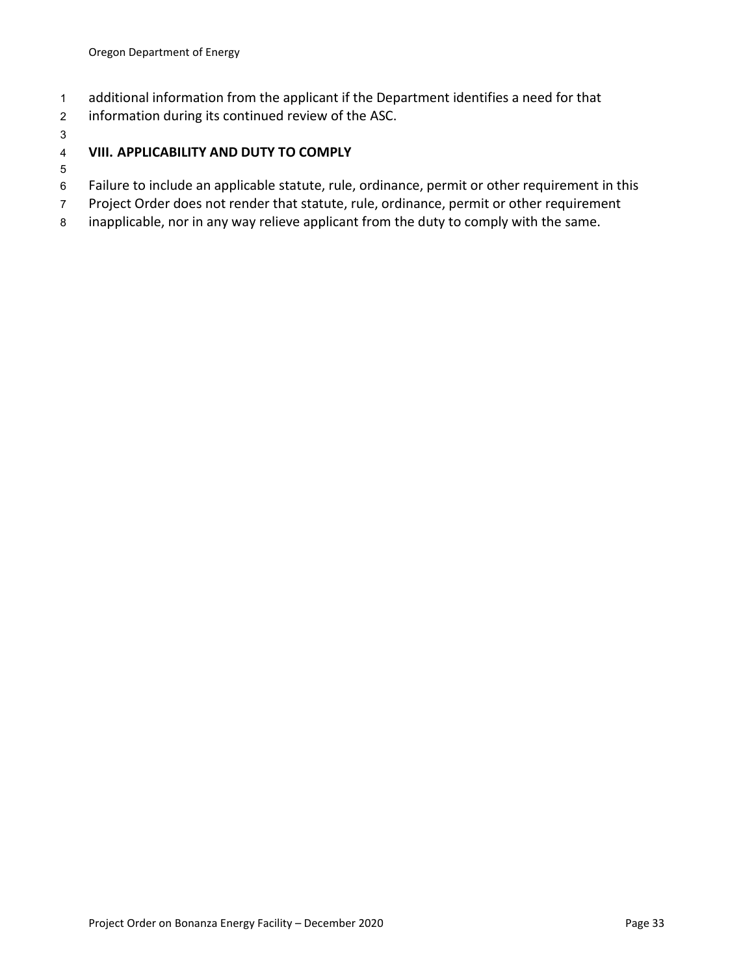- additional information from the applicant if the Department identifies a need for that
- information during its continued review of the ASC.
- 

# **VIII. APPLICABILITY AND DUTY TO COMPLY**

## Failure to include an applicable statute, rule, ordinance, permit or other requirement in this

- Project Order does not render that statute, rule, ordinance, permit or other requirement
- inapplicable, nor in any way relieve applicant from the duty to comply with the same.